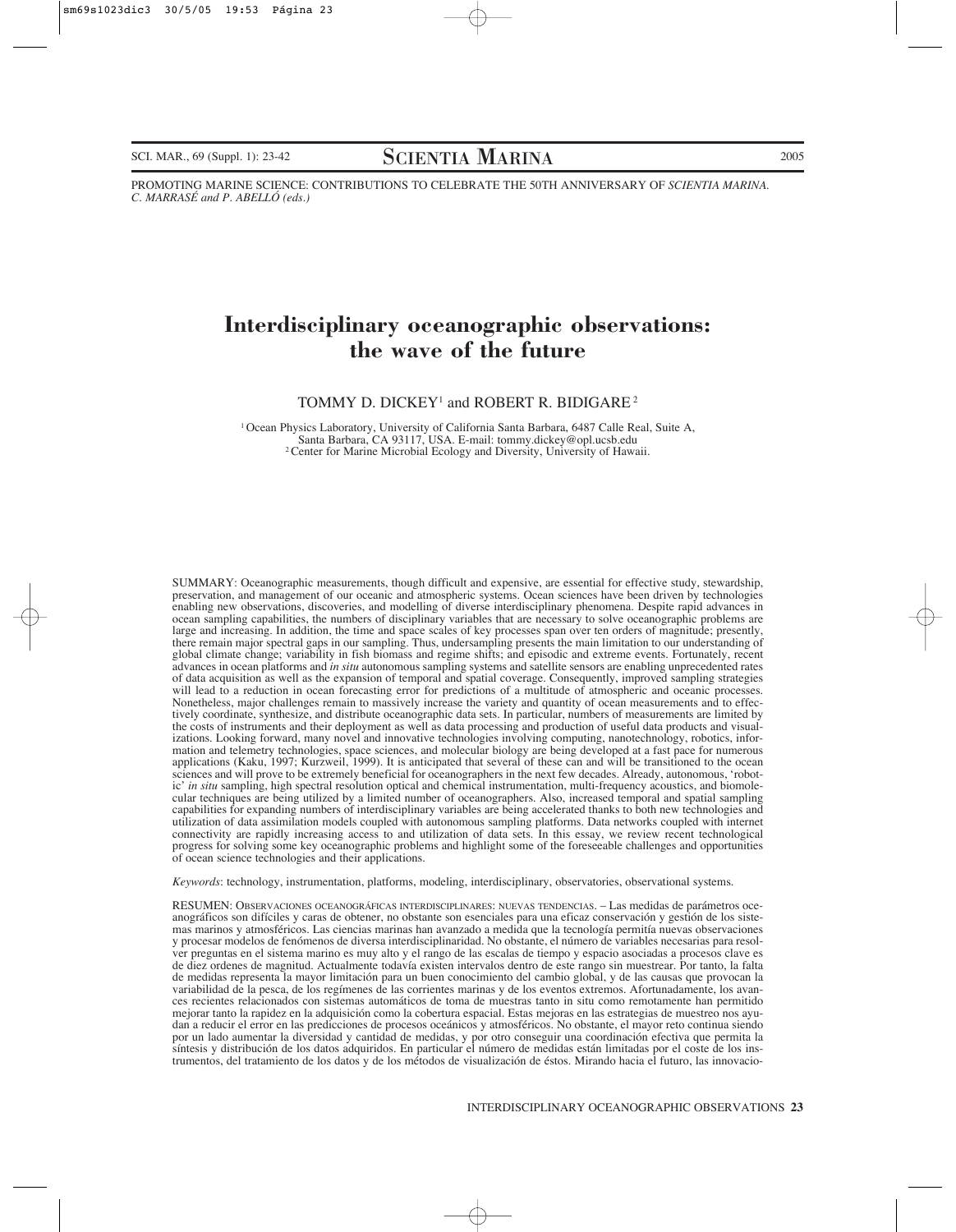SCI. MAR., 69 (Suppl. 1): 23-42 SCIENTIA MARINA 2005

PROMOTING MARINE SCIENCE: CONTRIBUTIONS TO CELEBRATE THE 50TH ANNIVERSARY OF *SCIENTIA MARINA*. *C. MARRASÉ and P. ABELLÓ (eds.)*

# **Interdisciplinary oceanographic observations: the wave of the future**

#### TOMMY D. DICKEY<sup>1</sup> and ROBERT R. BIDIGARE<sup>2</sup>

1 Ocean Physics Laboratory, University of California Santa Barbara, 6487 Calle Real, Suite A, <sup>2</sup> Center for Marine Microbial Ecology and Diversity, University of Hawaii.

SUMMARY: Oceanographic measurements, though difficult and expensive, are essential for effective study, stewardship, preservation, and management of our oceanic and atmospheric systems. Ocean sciences have been driven by technologies enabling new observations, discoveries, and modelling of diverse interdisciplinary phenomena. Despite rapid advances in ocean sampling capabilities, the numbers of disciplinary variables that are necessary to solve oceanographic problems are large and increasing. In addition, the time and space scales of key processes span over ten orders of magnitude; presently, there remain major spectral gaps in our sampling. Thus, undersampling presents the main limitation to our understanding of global climate change; variability in fish biomass and regime shifts; and episodic and extreme events. Fortunately, recent advances in ocean platforms and *in situ* autonomous sampling systems and satellite sensors are enabling unprecedented rates of data acquisition as well as the expansion of temporal and spatial coverage. Consequently, improved sampling strategies will lead to a reduction in ocean forecasting error for predictions of a multitude of atmospheric and oceanic processes. Nonetheless, major challenges remain to massively increase the variety and quantity of ocean measurements and to effectively coordinate, synthesize, and distribute oceanographic data sets. In particular, numbers of measurements are limited by the costs of instruments and their deployment as well as data processing and production of useful data products and visualizations. Looking forward, many novel and innovative technologies involving computing, nanotechnology, robotics, information and telemetry technologies, space sciences, and molecular biology are being developed at a fast pace for numerous applications (Kaku, 1997; Kurzweil, 1999). It is anticipated that several of these can and will be transitioned to the ocean sciences and will prove to be extremely beneficial for oceanographers in the next few decades. Already, autonomous, 'robotic' *in situ* sampling, high spectral resolution optical and chemical instrumentation, multi-frequency acoustics, and biomolecular techniques are being utilized by a limited number of oceanographers. Also, increased temporal and spatial sampling capabilities for expanding numbers of interdisciplinary variables are being accelerated thanks to both new technologies and utilization of data assimilation models coupled with autonomous sampling platforms. Data networks coupled with internet connectivity are rapidly increasing access to and utilization of data sets. In this essay, we review recent technological progress for solving some key oceanographic problems and highlight some of the foreseeable challenges and opportunities of ocean science technologies and their applications.

*Keywords*: technology, instrumentation, platforms, modeling, interdisciplinary, observatories, observational systems.

RESUMEN: OBSERVACIONES OCEANOGRÁFICAS INTERDISCIPLINARES: NUEVAS TENDENCIAS. – Las medidas de parámetros oceanográficos son difíciles y caras de obtener, no obstante son esenciales para una eficaz conservación y gestión de los sistemas marinos y atmosféricos. Las ciencias marinas han avanzado a medida que la tecnología permitía nuevas observaciones y procesar modelos de fenómenos de diversa interdisciplinaridad. No obstante, el número de variables necesarias para resolver preguntas en el sistema marino es muy alto y el rango de las escalas de tiempo y espacio asociadas a procesos clave es de diez ordenes de magnitud. Actualmente todavía existen intervalos dentro de este rango sin muestrear. Por tanto, la falta de medidas representa la mayor limitación para un buen conocimiento del cambio global, y de las causas que provocan la variabilidad de la pesca, de los regímenes de las corrientes marinas y de los eventos extremos. Afortunadamente, los avances recientes relacionados con sistemas automáticos de toma de muestras tanto in situ como remotamente han permitido mejorar tanto la rapidez en la adquisición como la cobertura espacial. Estas mejoras en las estrategias de muestreo nos ayudan a reducir el error en las predicciones de procesos oceánicos y atmosféricos. No obstante, el mayor reto continua siendo por un lado aumentar la diversidad y cantidad de medidas, y por otro conseguir una coordinación efectiva que permita la síntesis y distribución de los datos adquiridos. En particular el número de medidas están limitadas por el coste de los instrumentos, del tratamiento de los datos y de los métodos de visualización de éstos. Mirando hacia el futuro, las innovacio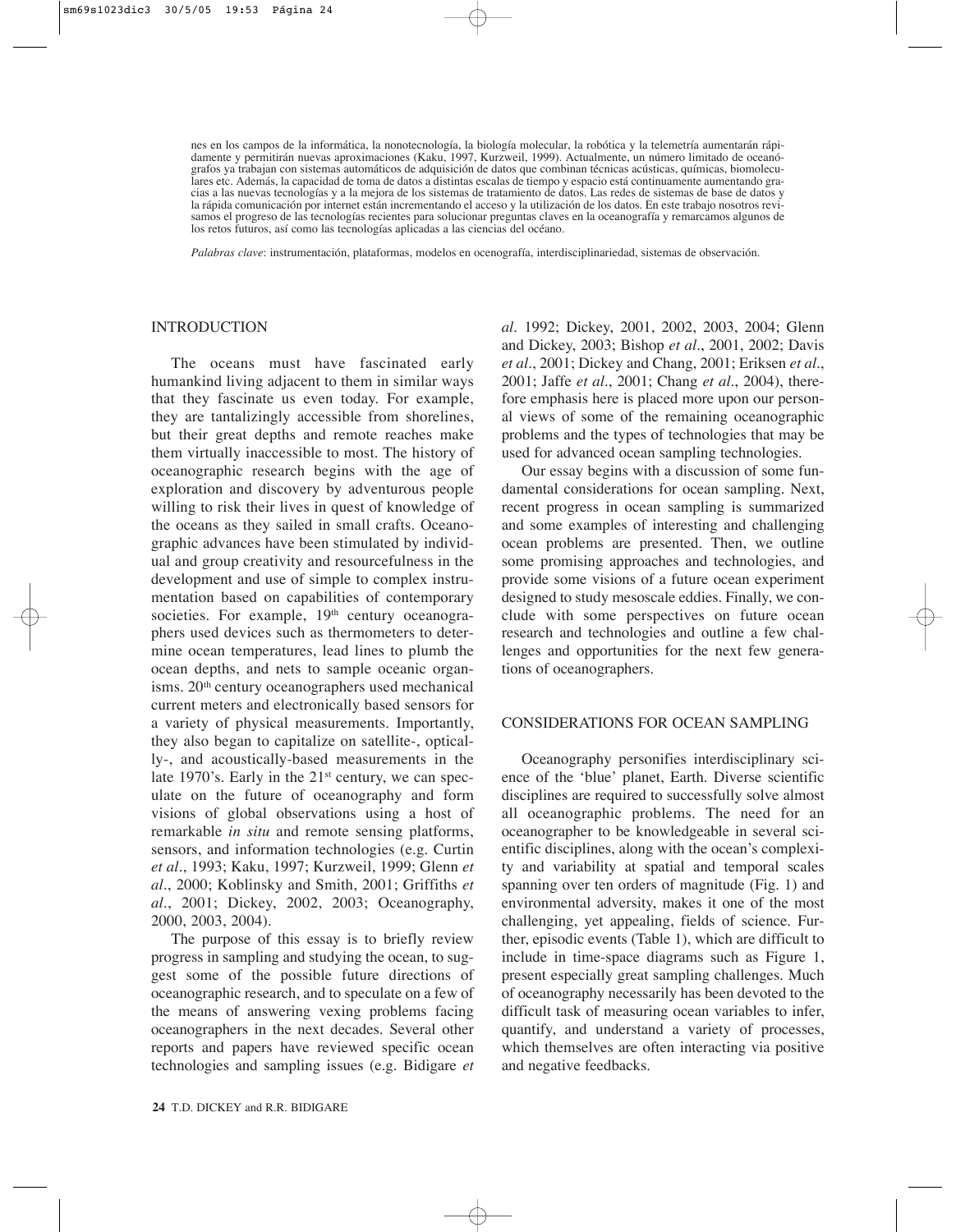nes en los campos de la informática, la nonotecnología, la biología molecular, la robótica y la telemetría aumentarán rápidamente y permitirán nuevas aproximaciones (Kaku, 1997, Kurzweil, 1999). Actualmente, un número limitado de oceanógrafos ya trabajan con sistemas automáticos de adquisición de datos que combinan técnicas acústicas, químicas, biomoleculares etc. Además, la capacidad de toma de datos a distintas escalas de tiempo y espacio está continuamente aumentando gracias a las nuevas tecnologías y a la mejora de los sistemas de tratamiento de datos. Las redes de sistemas de base de datos y la rápida comunicación por internet están incrementando el acceso y la utilización de los datos. En este trabajo nosotros revisamos el progreso de las tecnologías recientes para solucionar preguntas claves en la oceanografía y remarcamos algunos de los retos futuros, así como las tecnologías aplicadas a las ciencias del océano.

*Palabras clave*: instrumentación, plataformas, modelos en ocenografía, interdisciplinariedad, sistemas de observación.

#### INTRODUCTION

The oceans must have fascinated early humankind living adjacent to them in similar ways that they fascinate us even today. For example, they are tantalizingly accessible from shorelines, but their great depths and remote reaches make them virtually inaccessible to most. The history of oceanographic research begins with the age of exploration and discovery by adventurous people willing to risk their lives in quest of knowledge of the oceans as they sailed in small crafts. Oceanographic advances have been stimulated by individual and group creativity and resourcefulness in the development and use of simple to complex instrumentation based on capabilities of contemporary societies. For example,  $19<sup>th</sup>$  century oceanographers used devices such as thermometers to determine ocean temperatures, lead lines to plumb the ocean depths, and nets to sample oceanic organisms. 20<sup>th</sup> century oceanographers used mechanical current meters and electronically based sensors for a variety of physical measurements. Importantly, they also began to capitalize on satellite-, optically-, and acoustically-based measurements in the late 1970's. Early in the  $21<sup>st</sup>$  century, we can speculate on the future of oceanography and form visions of global observations using a host of remarkable *in situ* and remote sensing platforms, sensors, and information technologies (e.g. Curtin *et al.*, 1993; Kaku, 1997; Kurzweil, 1999; Glenn *et al.*, 2000; Koblinsky and Smith, 2001; Griffiths *et al.*, 2001; Dickey, 2002, 2003; Oceanography, 2000, 2003, 2004).

The purpose of this essay is to briefly review progress in sampling and studying the ocean, to suggest some of the possible future directions of oceanographic research, and to speculate on a few of the means of answering vexing problems facing oceanographers in the next decades. Several other reports and papers have reviewed specific ocean technologies and sampling issues (e.g. Bidigare *et* *al.* 1992; Dickey, 2001, 2002, 2003, 2004; Glenn and Dickey, 2003; Bishop *et al.*, 2001, 2002; Davis *et al.*, 2001; Dickey and Chang, 2001; Eriksen *et al.*, 2001; Jaffe *et al.*, 2001; Chang *et al.*, 2004), therefore emphasis here is placed more upon our personal views of some of the remaining oceanographic problems and the types of technologies that may be used for advanced ocean sampling technologies.

Our essay begins with a discussion of some fundamental considerations for ocean sampling. Next, recent progress in ocean sampling is summarized and some examples of interesting and challenging ocean problems are presented. Then, we outline some promising approaches and technologies, and provide some visions of a future ocean experiment designed to study mesoscale eddies. Finally, we conclude with some perspectives on future ocean research and technologies and outline a few challenges and opportunities for the next few generations of oceanographers.

#### CONSIDERATIONS FOR OCEAN SAMPLING

Oceanography personifies interdisciplinary science of the 'blue' planet, Earth. Diverse scientific disciplines are required to successfully solve almost all oceanographic problems. The need for an oceanographer to be knowledgeable in several scientific disciplines, along with the ocean's complexity and variability at spatial and temporal scales spanning over ten orders of magnitude (Fig. 1) and environmental adversity, makes it one of the most challenging, yet appealing, fields of science. Further, episodic events (Table 1), which are difficult to include in time-space diagrams such as Figure 1, present especially great sampling challenges. Much of oceanography necessarily has been devoted to the difficult task of measuring ocean variables to infer, quantify, and understand a variety of processes, which themselves are often interacting via positive and negative feedbacks.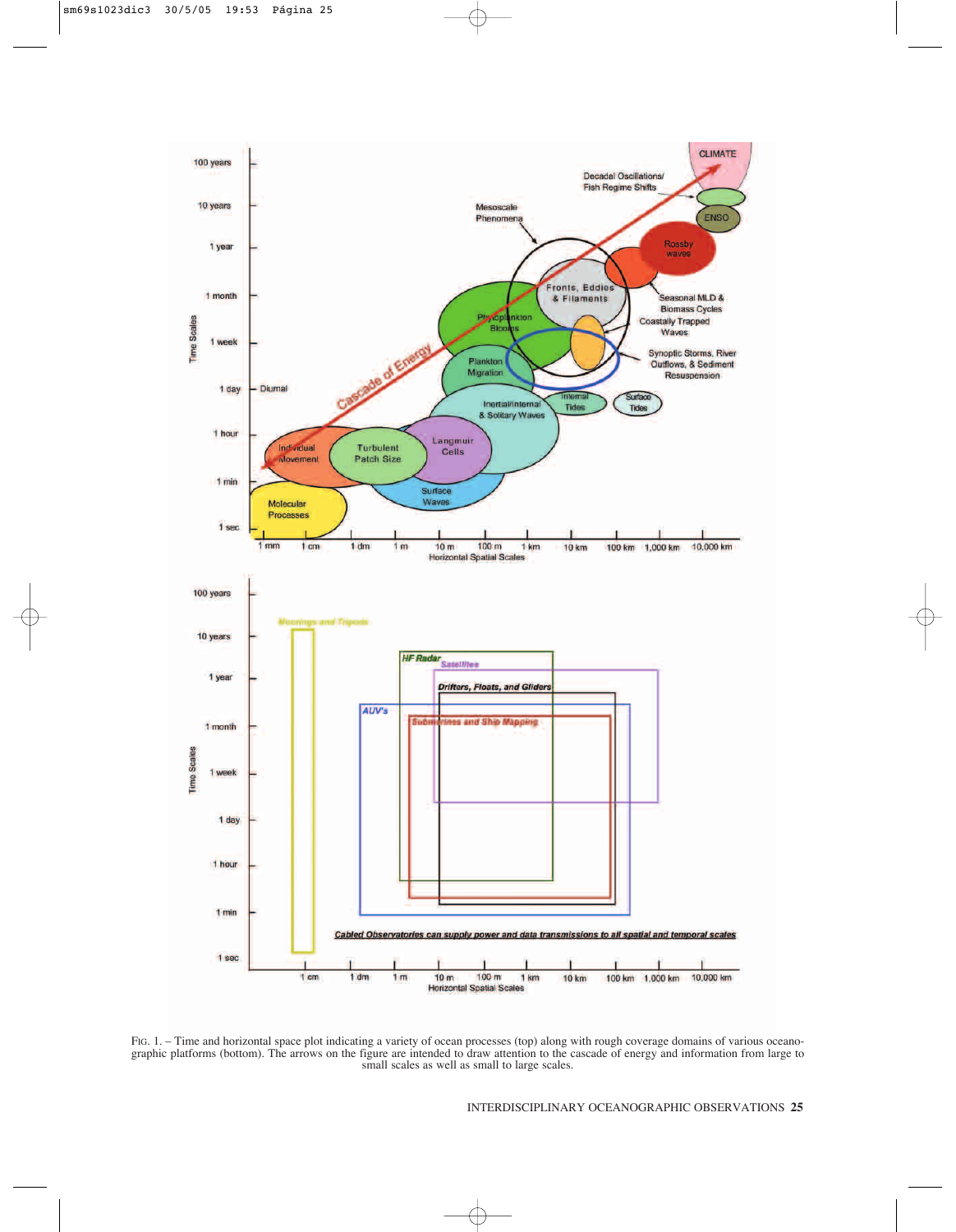

FIG. 1. – Time and horizontal space plot indicating a variety of ocean processes (top) along with rough coverage domains of various oceanographic platforms (bottom). The arrows on the figure are intended to draw attention to the cascade of energy and information from large to small scales as well as small to large scales.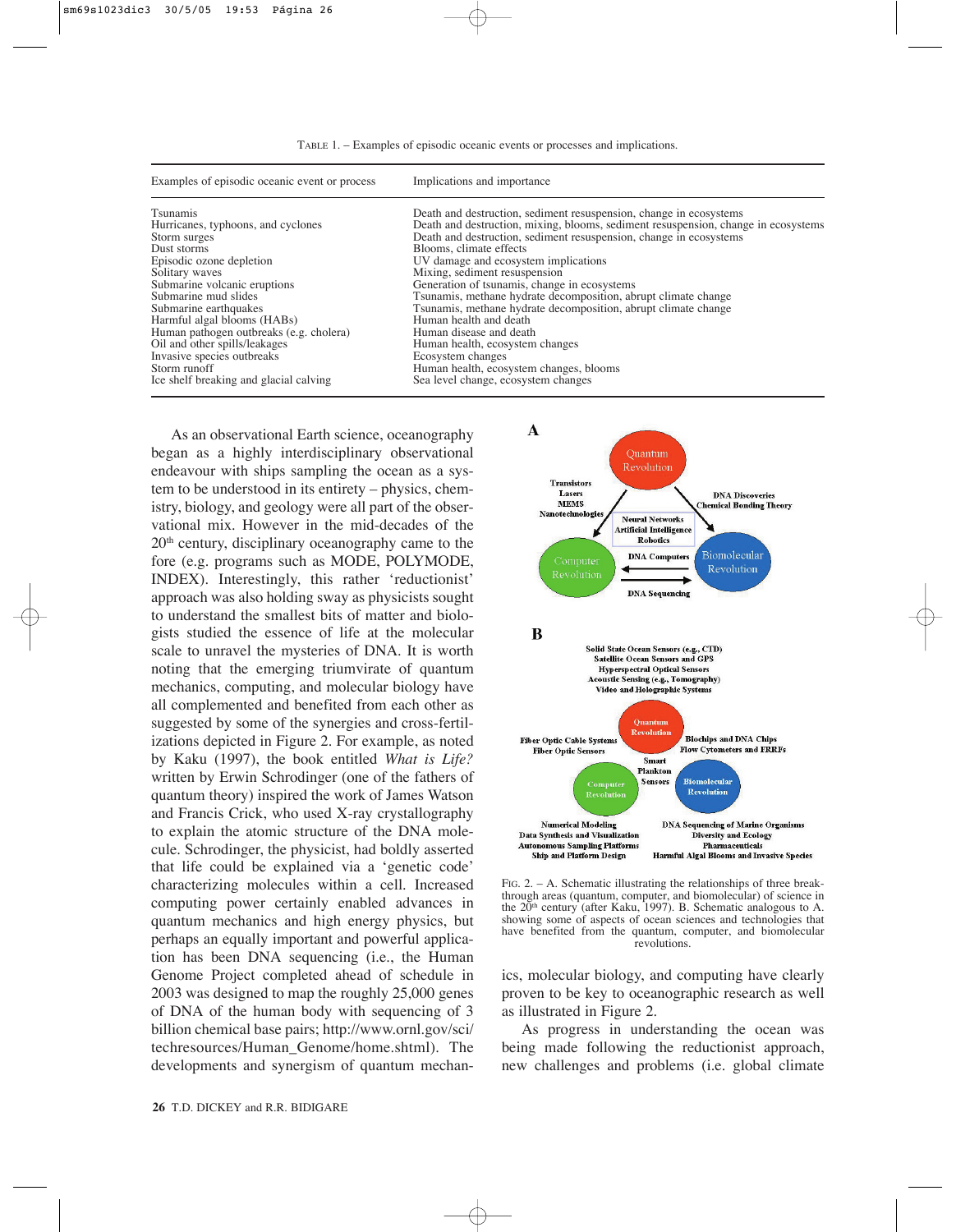| Examples of episodic oceanic event or process | Implications and importance                                                        |
|-----------------------------------------------|------------------------------------------------------------------------------------|
| Tsunamis                                      | Death and destruction, sediment resuspension, change in ecosystems                 |
| Hurricanes, typhoons, and cyclones            | Death and destruction, mixing, blooms, sediment resuspension, change in ecosystems |
| Storm surges                                  | Death and destruction, sediment resuspension, change in ecosystems                 |
| Dust storms                                   | Blooms, climate effects                                                            |
| Episodic ozone depletion                      | UV damage and ecosystem implications                                               |
| Solitary waves                                | Mixing, sediment resuspension                                                      |
| Submarine volcanic eruptions                  | Generation of tsunamis, change in ecosystems                                       |
| Submarine mud slides                          | Tsunamis, methane hydrate decomposition, abrupt climate change                     |
| Submarine earthquakes                         | Tsunamis, methane hydrate decomposition, abrupt climate change                     |
| Harmful algal blooms (HABs)                   | Human health and death                                                             |
| Human pathogen outbreaks (e.g. cholera)       | Human disease and death                                                            |
| Oil and other spills/leakages                 | Human health, ecosystem changes                                                    |
| Invasive species outbreaks                    | Ecosystem changes                                                                  |
| Storm runoff                                  | Human health, ecosystem changes, blooms                                            |
| Ice shelf breaking and glacial calving        | Sea level change, ecosystem changes                                                |

As an observational Earth science, oceanography began as a highly interdisciplinary observational endeavour with ships sampling the ocean as a system to be understood in its entirety – physics, chemistry, biology, and geology were all part of the observational mix. However in the mid-decades of the 20th century, disciplinary oceanography came to the fore (e.g. programs such as MODE, POLYMODE, INDEX). Interestingly, this rather 'reductionist' approach was also holding sway as physicists sought to understand the smallest bits of matter and biologists studied the essence of life at the molecular scale to unravel the mysteries of DNA. It is worth noting that the emerging triumvirate of quantum mechanics, computing, and molecular biology have all complemented and benefited from each other as suggested by some of the synergies and cross-fertilizations depicted in Figure 2. For example, as noted by Kaku (1997), the book entitled *What is Life?* written by Erwin Schrodinger (one of the fathers of quantum theory) inspired the work of James Watson and Francis Crick, who used X-ray crystallography to explain the atomic structure of the DNA molecule. Schrodinger, the physicist, had boldly asserted that life could be explained via a 'genetic code' characterizing molecules within a cell. Increased computing power certainly enabled advances in quantum mechanics and high energy physics, but perhaps an equally important and powerful application has been DNA sequencing (i.e., the Human Genome Project completed ahead of schedule in 2003 was designed to map the roughly 25,000 genes of DNA of the human body with sequencing of 3 billion chemical base pairs; http://www.ornl.gov/sci/ techresources/Human\_Genome/home.shtml). The developments and synergism of quantum mechan-



FIG. 2. – A. Schematic illustrating the relationships of three breakthrough areas (quantum, computer, and biomolecular) of science in the  $20<sup>th</sup>$  century (after Kaku, 1997). B. Schematic analogous to A. showing some of aspects of ocean sciences and technologies that have benefited from the quantum, computer, and biomolecular revolutions.

ics, molecular biology, and computing have clearly proven to be key to oceanographic research as well as illustrated in Figure 2.

As progress in understanding the ocean was being made following the reductionist approach, new challenges and problems (i.e. global climate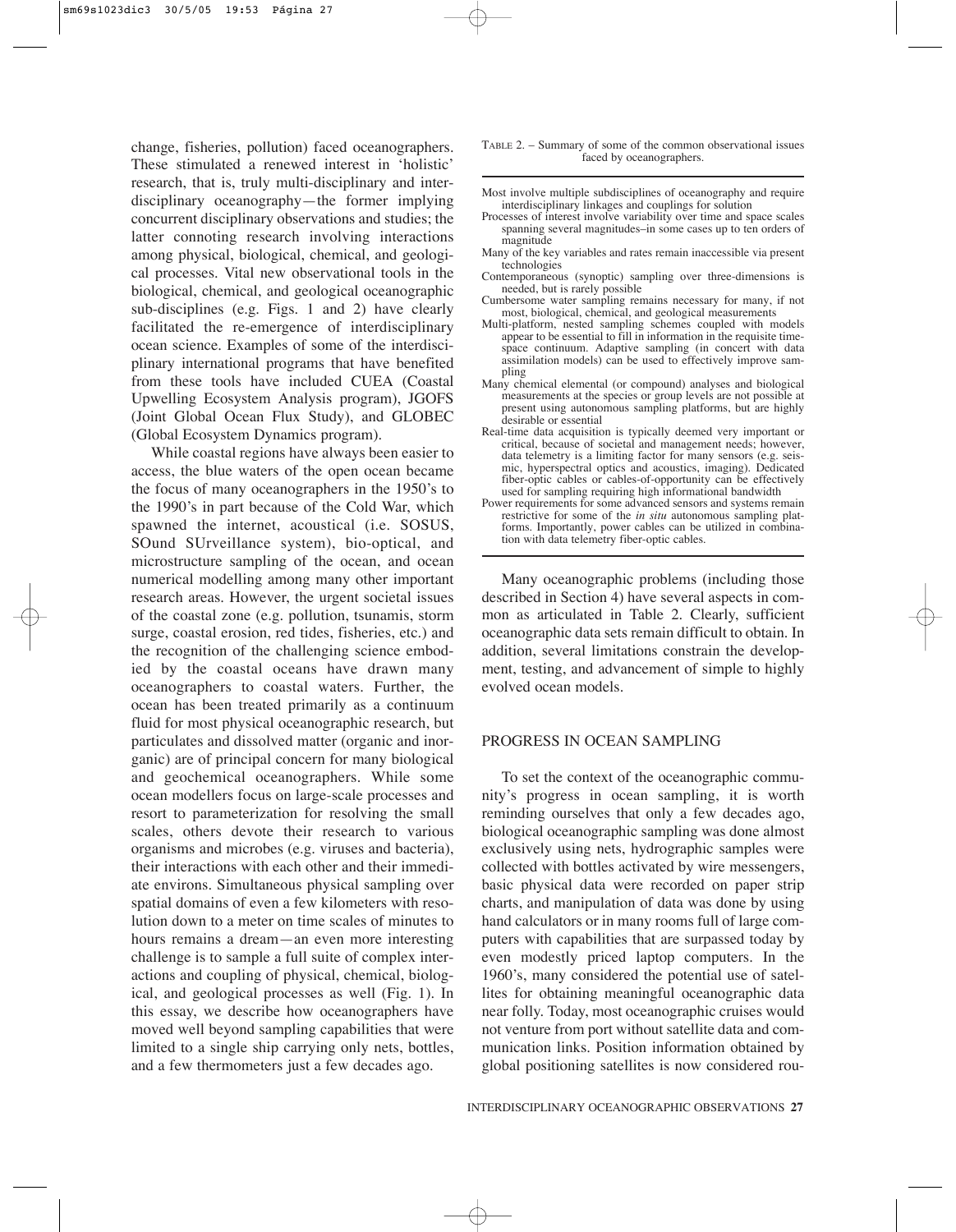change, fisheries, pollution) faced oceanographers. These stimulated a renewed interest in 'holistic' research, that is, truly multi-disciplinary and interdisciplinary oceanography—the former implying concurrent disciplinary observations and studies; the latter connoting research involving interactions among physical, biological, chemical, and geological processes. Vital new observational tools in the biological, chemical, and geological oceanographic sub-disciplines (e.g. Figs. 1 and 2) have clearly facilitated the re-emergence of interdisciplinary ocean science. Examples of some of the interdisciplinary international programs that have benefited from these tools have included CUEA (Coastal Upwelling Ecosystem Analysis program), JGOFS (Joint Global Ocean Flux Study), and GLOBEC (Global Ecosystem Dynamics program).

While coastal regions have always been easier to access, the blue waters of the open ocean became the focus of many oceanographers in the 1950's to the 1990's in part because of the Cold War, which spawned the internet, acoustical (i.e. SOSUS, SOund SUrveillance system), bio-optical, and microstructure sampling of the ocean, and ocean numerical modelling among many other important research areas. However, the urgent societal issues of the coastal zone (e.g. pollution, tsunamis, storm surge, coastal erosion, red tides, fisheries, etc.) and the recognition of the challenging science embodied by the coastal oceans have drawn many oceanographers to coastal waters. Further, the ocean has been treated primarily as a continuum fluid for most physical oceanographic research, but particulates and dissolved matter (organic and inorganic) are of principal concern for many biological and geochemical oceanographers. While some ocean modellers focus on large-scale processes and resort to parameterization for resolving the small scales, others devote their research to various organisms and microbes (e.g. viruses and bacteria), their interactions with each other and their immediate environs. Simultaneous physical sampling over spatial domains of even a few kilometers with resolution down to a meter on time scales of minutes to hours remains a dream—an even more interesting challenge is to sample a full suite of complex interactions and coupling of physical, chemical, biological, and geological processes as well (Fig. 1). In this essay, we describe how oceanographers have moved well beyond sampling capabilities that were limited to a single ship carrying only nets, bottles, and a few thermometers just a few decades ago.

- Most involve multiple subdisciplines of oceanography and require interdisciplinary linkages and couplings for solution
- Processes of interest involve variability over time and space scales spanning several magnitudes–in some cases up to ten orders of magnitude
- Many of the key variables and rates remain inaccessible via present technologies
- Contemporaneous (synoptic) sampling over three-dimensions is needed, but is rarely possible
- Cumbersome water sampling remains necessary for many, if not most, biological, chemical, and geological measurements
- Multi-platform, nested sampling schemes coupled with models appear to be essential to fill in information in the requisite timespace continuum. Adaptive sampling (in concert with data assimilation models) can be used to effectively improve sampling
- Many chemical elemental (or compound) analyses and biological measurements at the species or group levels are not possible at present using autonomous sampling platforms, but are highly desirable or essential
- Real-time data acquisition is typically deemed very important or critical, because of societal and management needs; however, data telemetry is a limiting factor for many sensors (e.g. seismic, hyperspectral optics and acoustics, imaging). Dedicated fiber-optic cables or cables-of-opportunity can be effectively used for sampling requiring high informational bandwidth
- Power requirements for some advanced sensors and systems remain restrictive for some of the *in situ* autonomous sampling platforms. Importantly, power cables can be utilized in combination with data telemetry fiber-optic cables.

Many oceanographic problems (including those described in Section 4) have several aspects in common as articulated in Table 2. Clearly, sufficient oceanographic data sets remain difficult to obtain. In addition, several limitations constrain the development, testing, and advancement of simple to highly evolved ocean models.

#### PROGRESS IN OCEAN SAMPLING

To set the context of the oceanographic community's progress in ocean sampling, it is worth reminding ourselves that only a few decades ago, biological oceanographic sampling was done almost exclusively using nets, hydrographic samples were collected with bottles activated by wire messengers, basic physical data were recorded on paper strip charts, and manipulation of data was done by using hand calculators or in many rooms full of large computers with capabilities that are surpassed today by even modestly priced laptop computers. In the 1960's, many considered the potential use of satellites for obtaining meaningful oceanographic data near folly. Today, most oceanographic cruises would not venture from port without satellite data and communication links. Position information obtained by global positioning satellites is now considered rou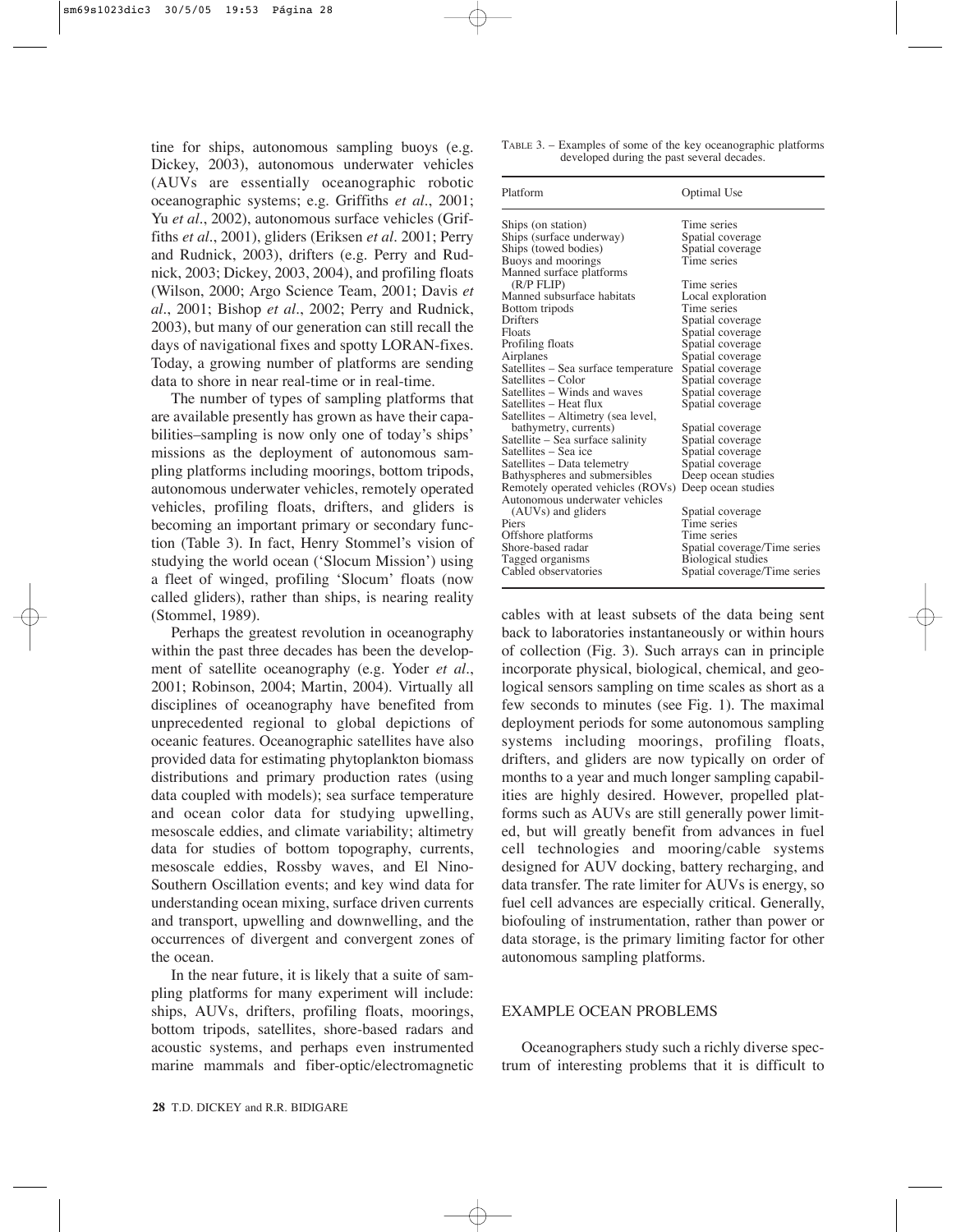tine for ships, autonomous sampling buoys (e.g. Dickey, 2003), autonomous underwater vehicles (AUVs are essentially oceanographic robotic oceanographic systems; e.g. Griffiths *et al.*, 2001; Yu *et al.*, 2002), autonomous surface vehicles (Griffiths *et al.*, 2001), gliders (Eriksen *et al.* 2001; Perry and Rudnick, 2003), drifters (e.g. Perry and Rudnick, 2003; Dickey, 2003, 2004), and profiling floats (Wilson, 2000; Argo Science Team, 2001; Davis *et al.*, 2001; Bishop *et al.*, 2002; Perry and Rudnick, 2003), but many of our generation can still recall the days of navigational fixes and spotty LORAN-fixes. Today, a growing number of platforms are sending data to shore in near real-time or in real-time.

The number of types of sampling platforms that are available presently has grown as have their capabilities–sampling is now only one of today's ships' missions as the deployment of autonomous sampling platforms including moorings, bottom tripods, autonomous underwater vehicles, remotely operated vehicles, profiling floats, drifters, and gliders is becoming an important primary or secondary function (Table 3). In fact, Henry Stommel's vision of studying the world ocean ('Slocum Mission') using a fleet of winged, profiling 'Slocum' floats (now called gliders), rather than ships, is nearing reality (Stommel, 1989).

Perhaps the greatest revolution in oceanography within the past three decades has been the development of satellite oceanography (e.g. Yoder *et al.*, 2001; Robinson, 2004; Martin, 2004). Virtually all disciplines of oceanography have benefited from unprecedented regional to global depictions of oceanic features. Oceanographic satellites have also provided data for estimating phytoplankton biomass distributions and primary production rates (using data coupled with models); sea surface temperature and ocean color data for studying upwelling, mesoscale eddies, and climate variability; altimetry data for studies of bottom topography, currents, mesoscale eddies, Rossby waves, and El Nino-Southern Oscillation events; and key wind data for understanding ocean mixing, surface driven currents and transport, upwelling and downwelling, and the occurrences of divergent and convergent zones of the ocean.

In the near future, it is likely that a suite of sampling platforms for many experiment will include: ships, AUVs, drifters, profiling floats, moorings, bottom tripods, satellites, shore-based radars and acoustic systems, and perhaps even instrumented marine mammals and fiber-optic/electromagnetic TABLE 3. – Examples of some of the key oceanographic platforms developed during the past several decades.

| Platform                             | Optimal Use                  |
|--------------------------------------|------------------------------|
| Ships (on station)                   | Time series                  |
| Ships (surface underway)             | Spatial coverage             |
| Ships (towed bodies)                 | Spatial coverage             |
| Buoys and moorings                   | Time series                  |
| Manned surface platforms             |                              |
| (R/P FLIP)                           | Time series                  |
| Manned subsurface habitats           | Local exploration            |
| Bottom tripods                       | Time series                  |
| Drifters                             | Spatial coverage             |
| Floats                               | Spatial coverage             |
| Profiling floats                     | Spatial coverage             |
| Airplanes                            | Spatial coverage             |
| Satellites – Sea surface temperature | Spatial coverage             |
| Satellites – Color                   | Spatial coverage             |
| Satellites – Winds and waves         | Spatial coverage             |
| Satellites – Heat flux               | Spatial coverage             |
| Satellites – Altimetry (sea level,   |                              |
| bathymetry, currents)                | Spatial coverage             |
| Satellite – Sea surface salinity     | Spatial coverage             |
| Satellites – Sea ice                 | Spatial coverage             |
| Satellites – Data telemetry          | Spatial coverage             |
| Bathyspheres and submersibles        | Deep ocean studies           |
| Remotely operated vehicles (ROVs)    | Deep ocean studies           |
| Autonomous underwater vehicles       |                              |
| (AUVs) and gliders                   | Spatial coverage             |
| Piers                                | Time series                  |
| Offshore platforms                   | Time series                  |
| Shore-based radar                    | Spatial coverage/Time series |
| Tagged organisms                     | Biological studies           |
| Cabled observatories                 | Spatial coverage/Time series |

cables with at least subsets of the data being sent back to laboratories instantaneously or within hours of collection (Fig. 3). Such arrays can in principle incorporate physical, biological, chemical, and geological sensors sampling on time scales as short as a few seconds to minutes (see Fig. 1). The maximal deployment periods for some autonomous sampling systems including moorings, profiling floats, drifters, and gliders are now typically on order of months to a year and much longer sampling capabilities are highly desired. However, propelled platforms such as AUVs are still generally power limited, but will greatly benefit from advances in fuel cell technologies and mooring/cable systems designed for AUV docking, battery recharging, and data transfer. The rate limiter for AUVs is energy, so fuel cell advances are especially critical. Generally, biofouling of instrumentation, rather than power or data storage, is the primary limiting factor for other autonomous sampling platforms.

#### EXAMPLE OCEAN PROBLEMS

Oceanographers study such a richly diverse spectrum of interesting problems that it is difficult to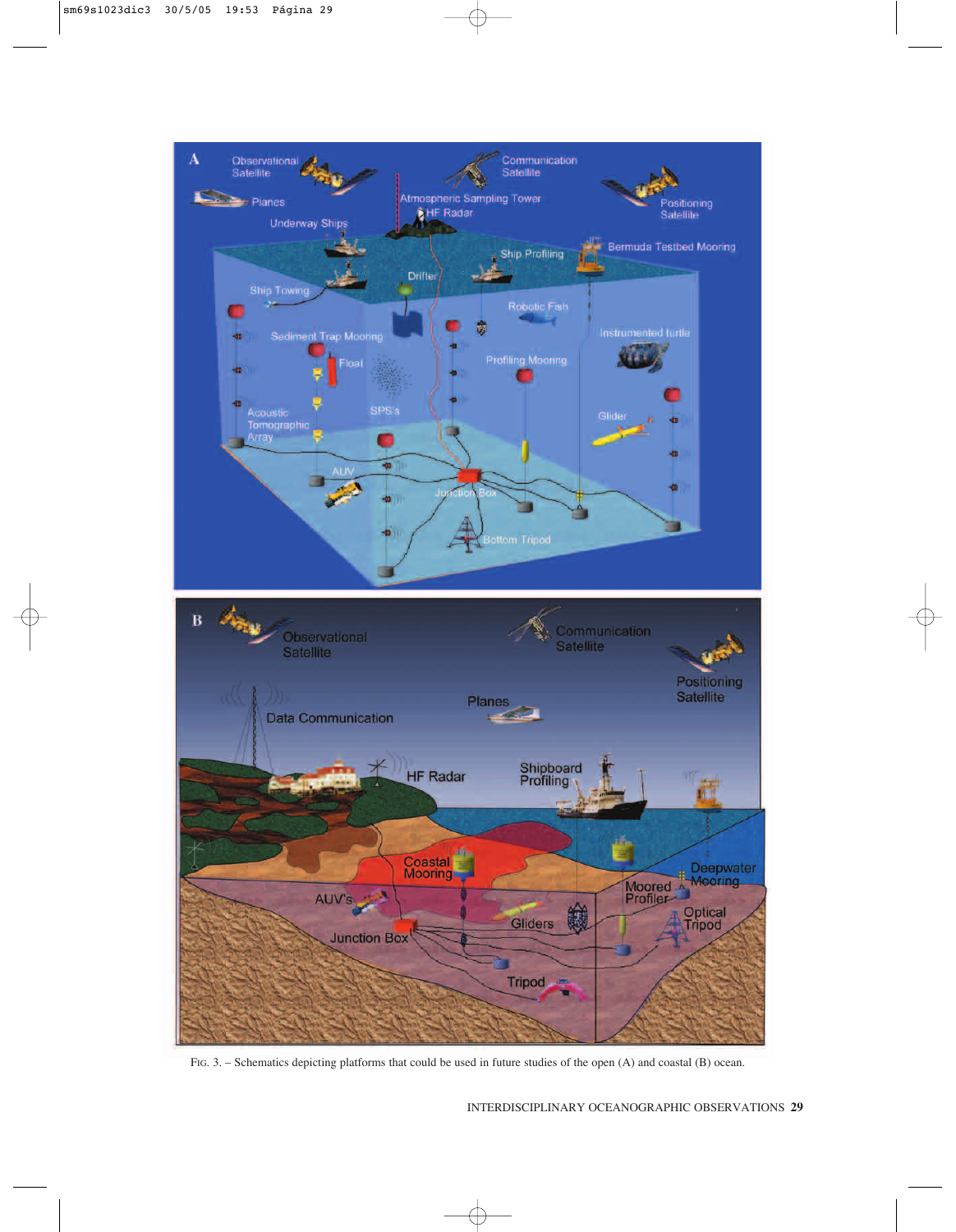

FIG. 3. – Schematics depicting platforms that could be used in future studies of the open (A) and coastal (B) ocean.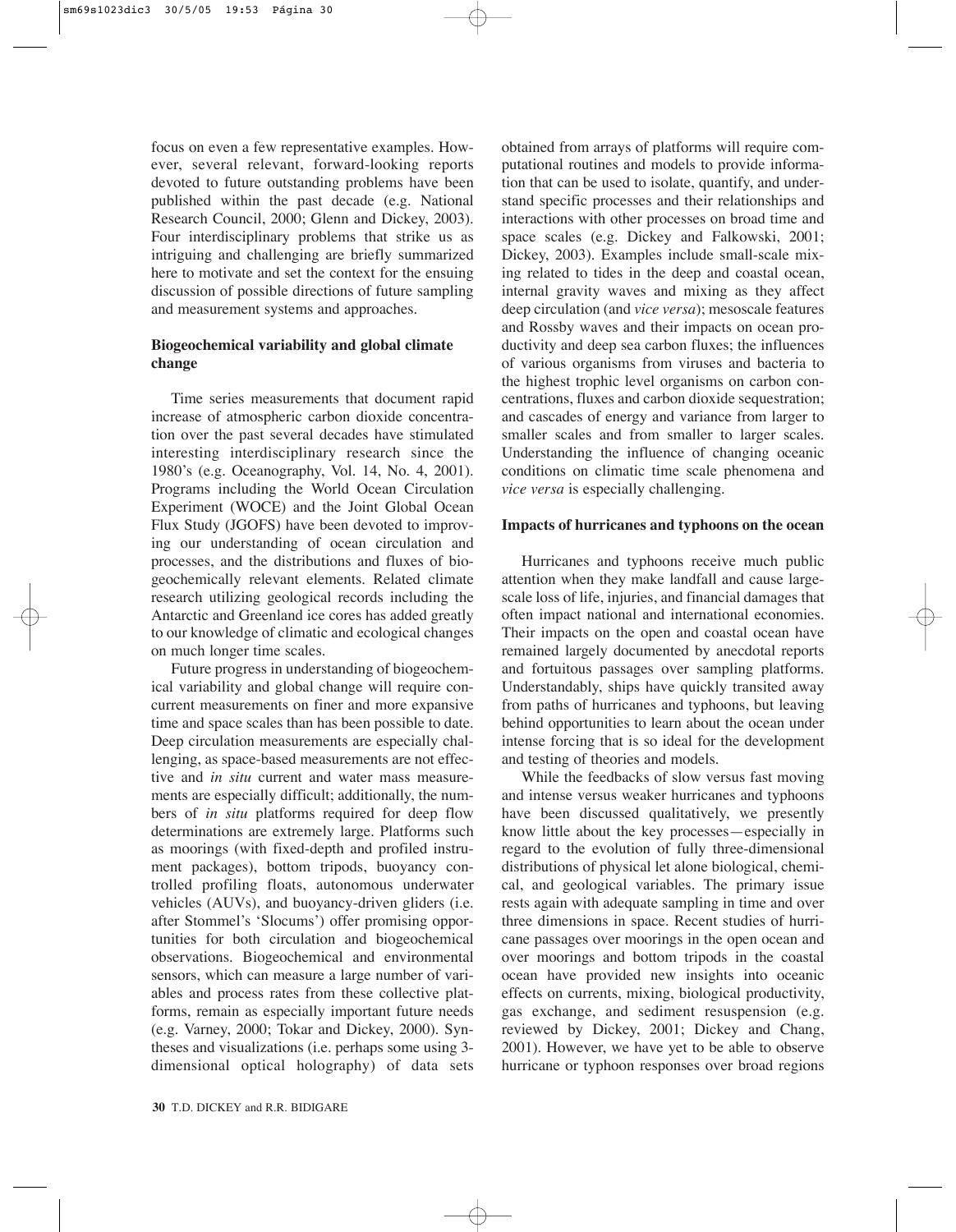focus on even a few representative examples. However, several relevant, forward-looking reports devoted to future outstanding problems have been published within the past decade (e.g. National Research Council, 2000; Glenn and Dickey, 2003). Four interdisciplinary problems that strike us as intriguing and challenging are briefly summarized here to motivate and set the context for the ensuing discussion of possible directions of future sampling and measurement systems and approaches.

## **Biogeochemical variability and global climate change**

Time series measurements that document rapid increase of atmospheric carbon dioxide concentration over the past several decades have stimulated interesting interdisciplinary research since the 1980's (e.g. Oceanography, Vol. 14, No. 4, 2001). Programs including the World Ocean Circulation Experiment (WOCE) and the Joint Global Ocean Flux Study (JGOFS) have been devoted to improving our understanding of ocean circulation and processes, and the distributions and fluxes of biogeochemically relevant elements. Related climate research utilizing geological records including the Antarctic and Greenland ice cores has added greatly to our knowledge of climatic and ecological changes on much longer time scales.

Future progress in understanding of biogeochemical variability and global change will require concurrent measurements on finer and more expansive time and space scales than has been possible to date. Deep circulation measurements are especially challenging, as space-based measurements are not effective and *in situ* current and water mass measurements are especially difficult; additionally, the numbers of *in situ* platforms required for deep flow determinations are extremely large. Platforms such as moorings (with fixed-depth and profiled instrument packages), bottom tripods, buoyancy controlled profiling floats, autonomous underwater vehicles (AUVs), and buoyancy-driven gliders (i.e. after Stommel's 'Slocums') offer promising opportunities for both circulation and biogeochemical observations. Biogeochemical and environmental sensors, which can measure a large number of variables and process rates from these collective platforms, remain as especially important future needs (e.g. Varney, 2000; Tokar and Dickey, 2000). Syntheses and visualizations (i.e. perhaps some using 3 dimensional optical holography) of data sets obtained from arrays of platforms will require computational routines and models to provide information that can be used to isolate, quantify, and understand specific processes and their relationships and interactions with other processes on broad time and space scales (e.g. Dickey and Falkowski, 2001; Dickey, 2003). Examples include small-scale mixing related to tides in the deep and coastal ocean, internal gravity waves and mixing as they affect deep circulation (and *vice versa*); mesoscale features and Rossby waves and their impacts on ocean productivity and deep sea carbon fluxes; the influences of various organisms from viruses and bacteria to the highest trophic level organisms on carbon concentrations, fluxes and carbon dioxide sequestration; and cascades of energy and variance from larger to smaller scales and from smaller to larger scales. Understanding the influence of changing oceanic conditions on climatic time scale phenomena and *vice versa* is especially challenging.

#### **Impacts of hurricanes and typhoons on the ocean**

Hurricanes and typhoons receive much public attention when they make landfall and cause largescale loss of life, injuries, and financial damages that often impact national and international economies. Their impacts on the open and coastal ocean have remained largely documented by anecdotal reports and fortuitous passages over sampling platforms. Understandably, ships have quickly transited away from paths of hurricanes and typhoons, but leaving behind opportunities to learn about the ocean under intense forcing that is so ideal for the development and testing of theories and models.

While the feedbacks of slow versus fast moving and intense versus weaker hurricanes and typhoons have been discussed qualitatively, we presently know little about the key processes—especially in regard to the evolution of fully three-dimensional distributions of physical let alone biological, chemical, and geological variables. The primary issue rests again with adequate sampling in time and over three dimensions in space. Recent studies of hurricane passages over moorings in the open ocean and over moorings and bottom tripods in the coastal ocean have provided new insights into oceanic effects on currents, mixing, biological productivity, gas exchange, and sediment resuspension (e.g. reviewed by Dickey, 2001; Dickey and Chang, 2001). However, we have yet to be able to observe hurricane or typhoon responses over broad regions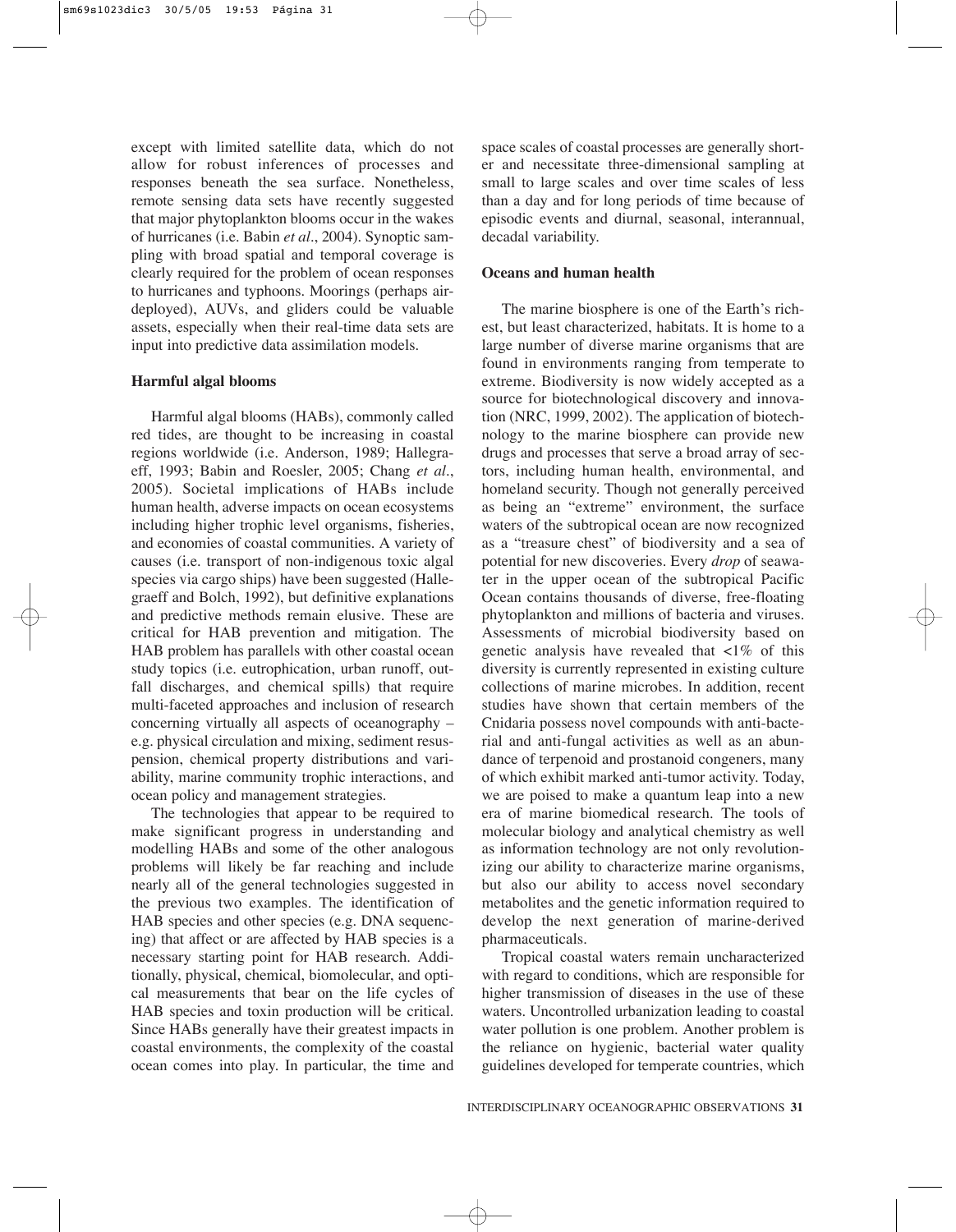except with limited satellite data, which do not allow for robust inferences of processes and responses beneath the sea surface. Nonetheless, remote sensing data sets have recently suggested that major phytoplankton blooms occur in the wakes of hurricanes (i.e. Babin *et al.*, 2004). Synoptic sampling with broad spatial and temporal coverage is clearly required for the problem of ocean responses to hurricanes and typhoons. Moorings (perhaps airdeployed), AUVs, and gliders could be valuable assets, especially when their real-time data sets are input into predictive data assimilation models.

### **Harmful algal blooms**

Harmful algal blooms (HABs), commonly called red tides, are thought to be increasing in coastal regions worldwide (i.e. Anderson, 1989; Hallegraeff, 1993; Babin and Roesler, 2005; Chang *et al.*, 2005). Societal implications of HABs include human health, adverse impacts on ocean ecosystems including higher trophic level organisms, fisheries, and economies of coastal communities. A variety of causes (i.e. transport of non-indigenous toxic algal species via cargo ships) have been suggested (Hallegraeff and Bolch, 1992), but definitive explanations and predictive methods remain elusive. These are critical for HAB prevention and mitigation. The HAB problem has parallels with other coastal ocean study topics (i.e. eutrophication, urban runoff, outfall discharges, and chemical spills) that require multi-faceted approaches and inclusion of research concerning virtually all aspects of oceanography – e.g. physical circulation and mixing, sediment resuspension, chemical property distributions and variability, marine community trophic interactions, and ocean policy and management strategies.

The technologies that appear to be required to make significant progress in understanding and modelling HABs and some of the other analogous problems will likely be far reaching and include nearly all of the general technologies suggested in the previous two examples. The identification of HAB species and other species (e.g. DNA sequencing) that affect or are affected by HAB species is a necessary starting point for HAB research. Additionally, physical, chemical, biomolecular, and optical measurements that bear on the life cycles of HAB species and toxin production will be critical. Since HABs generally have their greatest impacts in coastal environments, the complexity of the coastal ocean comes into play. In particular, the time and

space scales of coastal processes are generally shorter and necessitate three-dimensional sampling at small to large scales and over time scales of less than a day and for long periods of time because of episodic events and diurnal, seasonal, interannual, decadal variability.

## **Oceans and human health**

The marine biosphere is one of the Earth's richest, but least characterized, habitats. It is home to a large number of diverse marine organisms that are found in environments ranging from temperate to extreme. Biodiversity is now widely accepted as a source for biotechnological discovery and innovation (NRC, 1999, 2002). The application of biotechnology to the marine biosphere can provide new drugs and processes that serve a broad array of sectors, including human health, environmental, and homeland security. Though not generally perceived as being an "extreme" environment, the surface waters of the subtropical ocean are now recognized as a "treasure chest" of biodiversity and a sea of potential for new discoveries. Every *drop* of seawater in the upper ocean of the subtropical Pacific Ocean contains thousands of diverse, free-floating phytoplankton and millions of bacteria and viruses. Assessments of microbial biodiversity based on genetic analysis have revealed that  $\langle 1\% \rangle$  of this diversity is currently represented in existing culture collections of marine microbes. In addition, recent studies have shown that certain members of the Cnidaria possess novel compounds with anti-bacterial and anti-fungal activities as well as an abundance of terpenoid and prostanoid congeners, many of which exhibit marked anti-tumor activity. Today, we are poised to make a quantum leap into a new era of marine biomedical research. The tools of molecular biology and analytical chemistry as well as information technology are not only revolutionizing our ability to characterize marine organisms, but also our ability to access novel secondary metabolites and the genetic information required to develop the next generation of marine-derived pharmaceuticals.

Tropical coastal waters remain uncharacterized with regard to conditions, which are responsible for higher transmission of diseases in the use of these waters. Uncontrolled urbanization leading to coastal water pollution is one problem. Another problem is the reliance on hygienic, bacterial water quality guidelines developed for temperate countries, which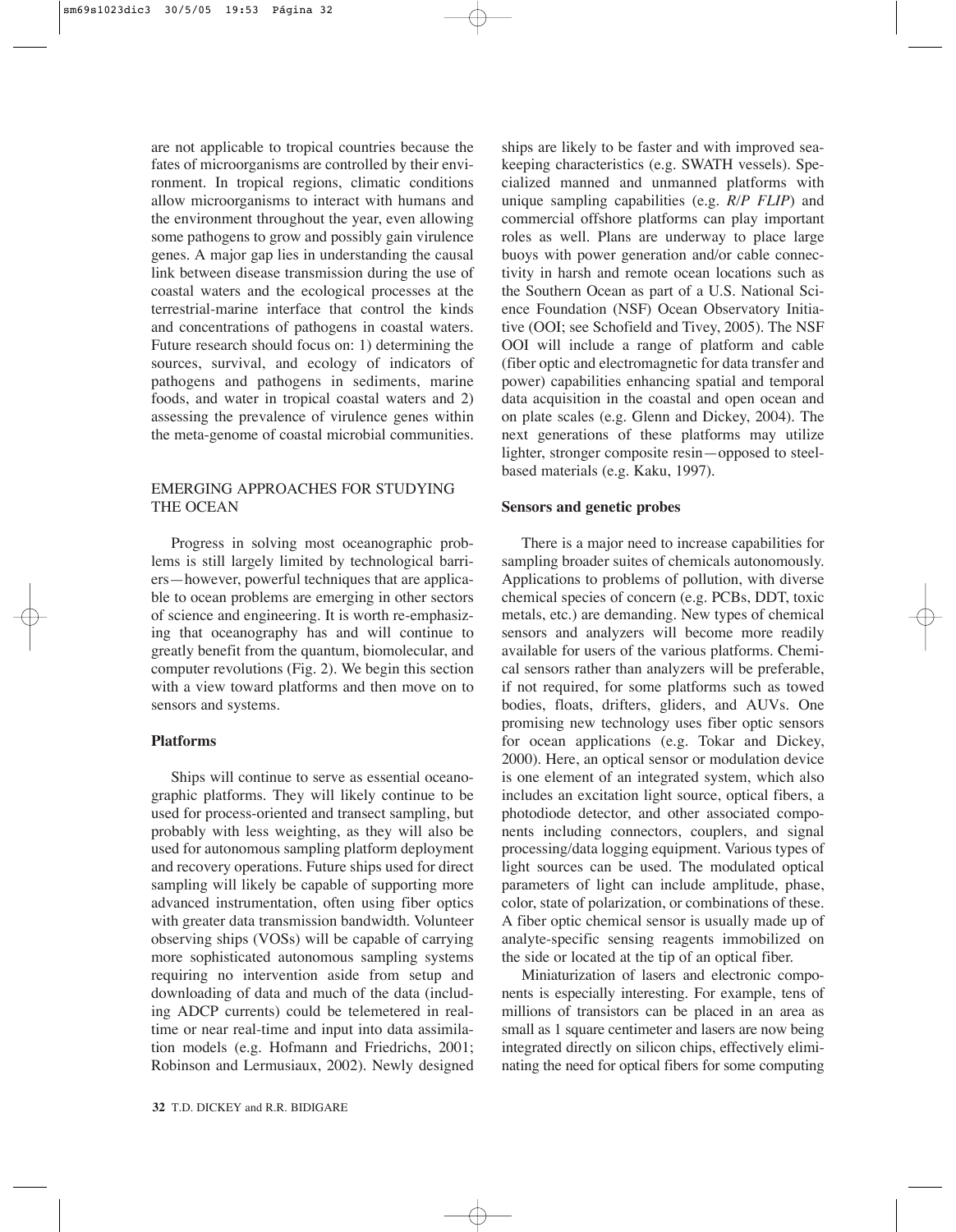are not applicable to tropical countries because the fates of microorganisms are controlled by their environment. In tropical regions, climatic conditions allow microorganisms to interact with humans and the environment throughout the year, even allowing some pathogens to grow and possibly gain virulence genes. A major gap lies in understanding the causal link between disease transmission during the use of coastal waters and the ecological processes at the terrestrial-marine interface that control the kinds and concentrations of pathogens in coastal waters. Future research should focus on: 1) determining the sources, survival, and ecology of indicators of pathogens and pathogens in sediments, marine foods, and water in tropical coastal waters and 2) assessing the prevalence of virulence genes within the meta-genome of coastal microbial communities.

## EMERGING APPROACHES FOR STUDYING THE OCEAN

Progress in solving most oceanographic problems is still largely limited by technological barriers—however, powerful techniques that are applicable to ocean problems are emerging in other sectors of science and engineering. It is worth re-emphasizing that oceanography has and will continue to greatly benefit from the quantum, biomolecular, and computer revolutions (Fig. 2). We begin this section with a view toward platforms and then move on to sensors and systems.

## **Platforms**

Ships will continue to serve as essential oceanographic platforms. They will likely continue to be used for process-oriented and transect sampling, but probably with less weighting, as they will also be used for autonomous sampling platform deployment and recovery operations. Future ships used for direct sampling will likely be capable of supporting more advanced instrumentation, often using fiber optics with greater data transmission bandwidth. Volunteer observing ships (VOSs) will be capable of carrying more sophisticated autonomous sampling systems requiring no intervention aside from setup and downloading of data and much of the data (including ADCP currents) could be telemetered in realtime or near real-time and input into data assimilation models (e.g. Hofmann and Friedrichs, 2001; Robinson and Lermusiaux, 2002). Newly designed ships are likely to be faster and with improved seakeeping characteristics (e.g. SWATH vessels). Specialized manned and unmanned platforms with unique sampling capabilities (e.g. *R/P FLIP*) and commercial offshore platforms can play important roles as well. Plans are underway to place large buoys with power generation and/or cable connectivity in harsh and remote ocean locations such as the Southern Ocean as part of a U.S. National Science Foundation (NSF) Ocean Observatory Initiative (OOI; see Schofield and Tivey, 2005). The NSF OOI will include a range of platform and cable (fiber optic and electromagnetic for data transfer and power) capabilities enhancing spatial and temporal data acquisition in the coastal and open ocean and on plate scales (e.g. Glenn and Dickey, 2004). The next generations of these platforms may utilize lighter, stronger composite resin—opposed to steelbased materials (e.g. Kaku, 1997).

### **Sensors and genetic probes**

There is a major need to increase capabilities for sampling broader suites of chemicals autonomously. Applications to problems of pollution, with diverse chemical species of concern (e.g. PCBs, DDT, toxic metals, etc.) are demanding. New types of chemical sensors and analyzers will become more readily available for users of the various platforms. Chemical sensors rather than analyzers will be preferable, if not required, for some platforms such as towed bodies, floats, drifters, gliders, and AUVs. One promising new technology uses fiber optic sensors for ocean applications (e.g. Tokar and Dickey, 2000). Here, an optical sensor or modulation device is one element of an integrated system, which also includes an excitation light source, optical fibers, a photodiode detector, and other associated components including connectors, couplers, and signal processing/data logging equipment. Various types of light sources can be used. The modulated optical parameters of light can include amplitude, phase, color, state of polarization, or combinations of these. A fiber optic chemical sensor is usually made up of analyte-specific sensing reagents immobilized on the side or located at the tip of an optical fiber.

Miniaturization of lasers and electronic components is especially interesting. For example, tens of millions of transistors can be placed in an area as small as 1 square centimeter and lasers are now being integrated directly on silicon chips, effectively eliminating the need for optical fibers for some computing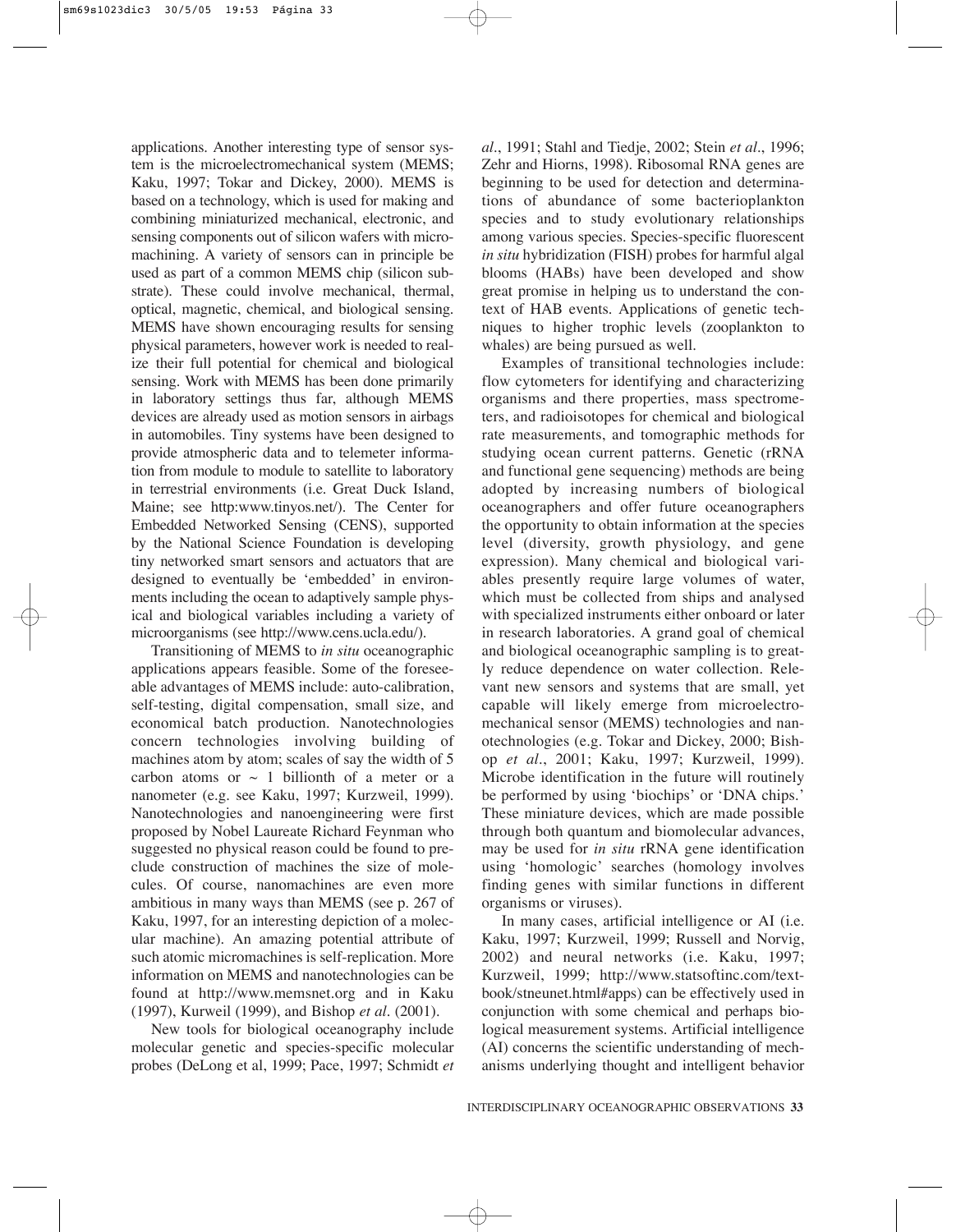applications. Another interesting type of sensor system is the microelectromechanical system (MEMS; Kaku, 1997; Tokar and Dickey, 2000). MEMS is based on a technology, which is used for making and combining miniaturized mechanical, electronic, and sensing components out of silicon wafers with micromachining. A variety of sensors can in principle be used as part of a common MEMS chip (silicon substrate). These could involve mechanical, thermal, optical, magnetic, chemical, and biological sensing. MEMS have shown encouraging results for sensing physical parameters, however work is needed to realize their full potential for chemical and biological sensing. Work with MEMS has been done primarily in laboratory settings thus far, although MEMS devices are already used as motion sensors in airbags in automobiles. Tiny systems have been designed to provide atmospheric data and to telemeter information from module to module to satellite to laboratory in terrestrial environments (i.e. Great Duck Island, Maine; see http:www.tinyos.net/). The Center for Embedded Networked Sensing (CENS), supported by the National Science Foundation is developing tiny networked smart sensors and actuators that are designed to eventually be 'embedded' in environments including the ocean to adaptively sample physical and biological variables including a variety of microorganisms (see http://www.cens.ucla.edu/).

Transitioning of MEMS to *in situ* oceanographic applications appears feasible. Some of the foreseeable advantages of MEMS include: auto-calibration, self-testing, digital compensation, small size, and economical batch production. Nanotechnologies concern technologies involving building of machines atom by atom; scales of say the width of 5 carbon atoms or  $\sim$  1 billionth of a meter or a nanometer (e.g. see Kaku, 1997; Kurzweil, 1999). Nanotechnologies and nanoengineering were first proposed by Nobel Laureate Richard Feynman who suggested no physical reason could be found to preclude construction of machines the size of molecules. Of course, nanomachines are even more ambitious in many ways than MEMS (see p. 267 of Kaku, 1997, for an interesting depiction of a molecular machine). An amazing potential attribute of such atomic micromachines is self-replication. More information on MEMS and nanotechnologies can be found at http://www.memsnet.org and in Kaku (1997), Kurweil (1999), and Bishop *et al.* (2001).

New tools for biological oceanography include molecular genetic and species-specific molecular probes (DeLong et al, 1999; Pace, 1997; Schmidt *et* *al.*, 1991; Stahl and Tiedje, 2002; Stein *et al.*, 1996; Zehr and Hiorns, 1998). Ribosomal RNA genes are beginning to be used for detection and determinations of abundance of some bacterioplankton species and to study evolutionary relationships among various species. Species-specific fluorescent *in situ* hybridization (FISH) probes for harmful algal blooms (HABs) have been developed and show great promise in helping us to understand the context of HAB events. Applications of genetic techniques to higher trophic levels (zooplankton to whales) are being pursued as well.

Examples of transitional technologies include: flow cytometers for identifying and characterizing organisms and there properties, mass spectrometers, and radioisotopes for chemical and biological rate measurements, and tomographic methods for studying ocean current patterns. Genetic (rRNA and functional gene sequencing) methods are being adopted by increasing numbers of biological oceanographers and offer future oceanographers the opportunity to obtain information at the species level (diversity, growth physiology, and gene expression). Many chemical and biological variables presently require large volumes of water, which must be collected from ships and analysed with specialized instruments either onboard or later in research laboratories. A grand goal of chemical and biological oceanographic sampling is to greatly reduce dependence on water collection. Relevant new sensors and systems that are small, yet capable will likely emerge from microelectromechanical sensor (MEMS) technologies and nanotechnologies (e.g. Tokar and Dickey, 2000; Bishop *et al.*, 2001; Kaku, 1997; Kurzweil, 1999). Microbe identification in the future will routinely be performed by using 'biochips' or 'DNA chips.' These miniature devices, which are made possible through both quantum and biomolecular advances, may be used for *in situ* rRNA gene identification using 'homologic' searches (homology involves finding genes with similar functions in different organisms or viruses).

In many cases, artificial intelligence or AI (i.e. Kaku, 1997; Kurzweil, 1999; Russell and Norvig, 2002) and neural networks (i.e. Kaku, 1997; Kurzweil, 1999; http://www.statsoftinc.com/textbook/stneunet.html#apps) can be effectively used in conjunction with some chemical and perhaps biological measurement systems. Artificial intelligence (AI) concerns the scientific understanding of mechanisms underlying thought and intelligent behavior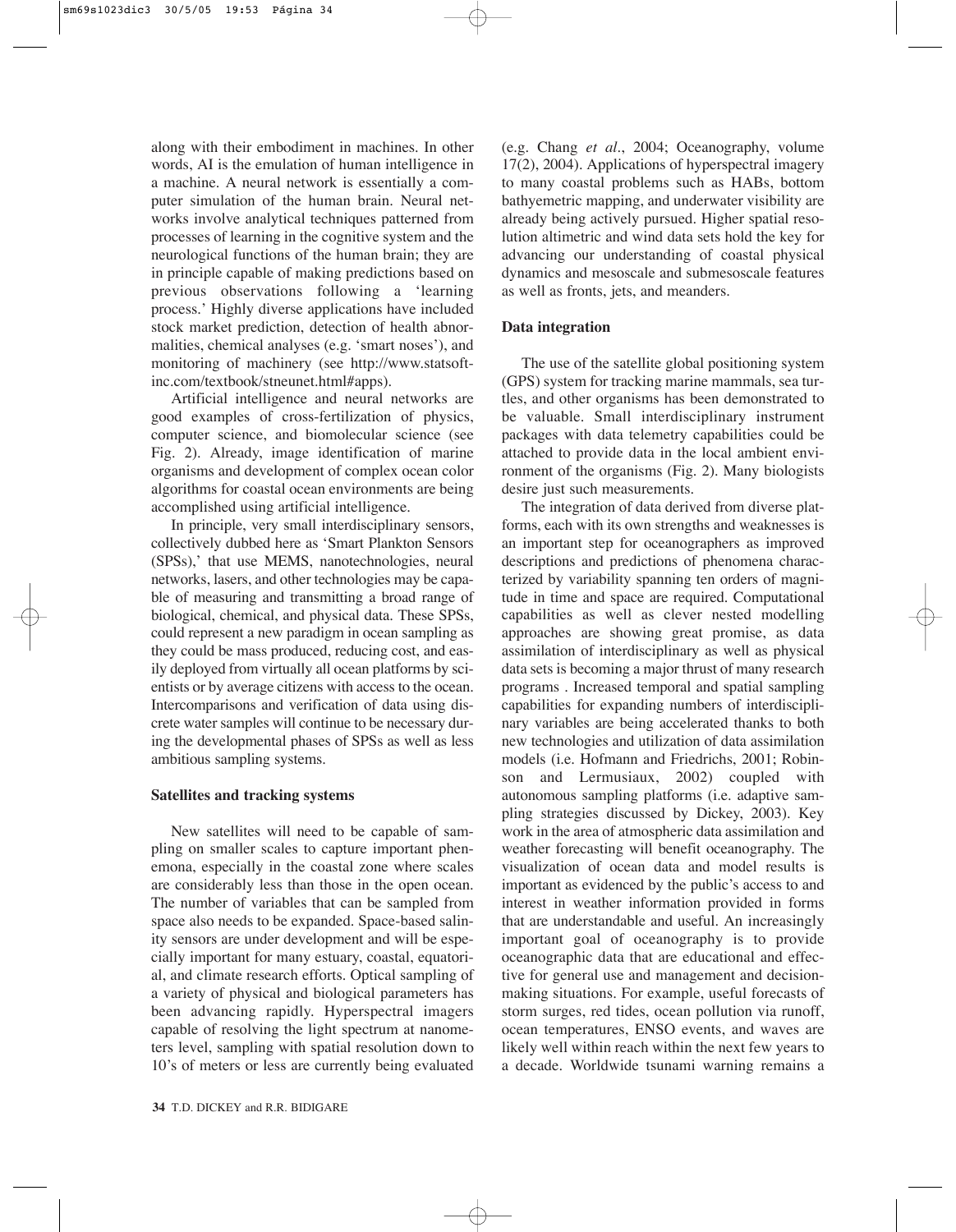along with their embodiment in machines. In other words, AI is the emulation of human intelligence in a machine. A neural network is essentially a computer simulation of the human brain. Neural networks involve analytical techniques patterned from processes of learning in the cognitive system and the neurological functions of the human brain; they are in principle capable of making predictions based on previous observations following a 'learning process.' Highly diverse applications have included stock market prediction, detection of health abnormalities, chemical analyses (e.g. 'smart noses'), and monitoring of machinery (see http://www.statsoftinc.com/textbook/stneunet.html#apps).

Artificial intelligence and neural networks are good examples of cross-fertilization of physics, computer science, and biomolecular science (see Fig. 2). Already, image identification of marine organisms and development of complex ocean color algorithms for coastal ocean environments are being accomplished using artificial intelligence.

In principle, very small interdisciplinary sensors, collectively dubbed here as 'Smart Plankton Sensors (SPSs),' that use MEMS, nanotechnologies, neural networks, lasers, and other technologies may be capable of measuring and transmitting a broad range of biological, chemical, and physical data. These SPSs, could represent a new paradigm in ocean sampling as they could be mass produced, reducing cost, and easily deployed from virtually all ocean platforms by scientists or by average citizens with access to the ocean. Intercomparisons and verification of data using discrete water samples will continue to be necessary during the developmental phases of SPSs as well as less ambitious sampling systems.

## **Satellites and tracking systems**

New satellites will need to be capable of sampling on smaller scales to capture important phenemona, especially in the coastal zone where scales are considerably less than those in the open ocean. The number of variables that can be sampled from space also needs to be expanded. Space-based salinity sensors are under development and will be especially important for many estuary, coastal, equatorial, and climate research efforts. Optical sampling of a variety of physical and biological parameters has been advancing rapidly. Hyperspectral imagers capable of resolving the light spectrum at nanometers level, sampling with spatial resolution down to 10's of meters or less are currently being evaluated (e.g. Chang *et al.*, 2004; Oceanography, volume 17(2), 2004). Applications of hyperspectral imagery to many coastal problems such as HABs, bottom bathyemetric mapping, and underwater visibility are already being actively pursued. Higher spatial resolution altimetric and wind data sets hold the key for advancing our understanding of coastal physical dynamics and mesoscale and submesoscale features as well as fronts, jets, and meanders.

#### **Data integration**

The use of the satellite global positioning system (GPS) system for tracking marine mammals, sea turtles, and other organisms has been demonstrated to be valuable. Small interdisciplinary instrument packages with data telemetry capabilities could be attached to provide data in the local ambient environment of the organisms (Fig. 2). Many biologists desire just such measurements.

The integration of data derived from diverse platforms, each with its own strengths and weaknesses is an important step for oceanographers as improved descriptions and predictions of phenomena characterized by variability spanning ten orders of magnitude in time and space are required. Computational capabilities as well as clever nested modelling approaches are showing great promise, as data assimilation of interdisciplinary as well as physical data sets is becoming a major thrust of many research programs . Increased temporal and spatial sampling capabilities for expanding numbers of interdisciplinary variables are being accelerated thanks to both new technologies and utilization of data assimilation models (i.e. Hofmann and Friedrichs, 2001; Robinson and Lermusiaux, 2002) coupled with autonomous sampling platforms (i.e. adaptive sampling strategies discussed by Dickey, 2003). Key work in the area of atmospheric data assimilation and weather forecasting will benefit oceanography. The visualization of ocean data and model results is important as evidenced by the public's access to and interest in weather information provided in forms that are understandable and useful. An increasingly important goal of oceanography is to provide oceanographic data that are educational and effective for general use and management and decisionmaking situations. For example, useful forecasts of storm surges, red tides, ocean pollution via runoff, ocean temperatures, ENSO events, and waves are likely well within reach within the next few years to a decade. Worldwide tsunami warning remains a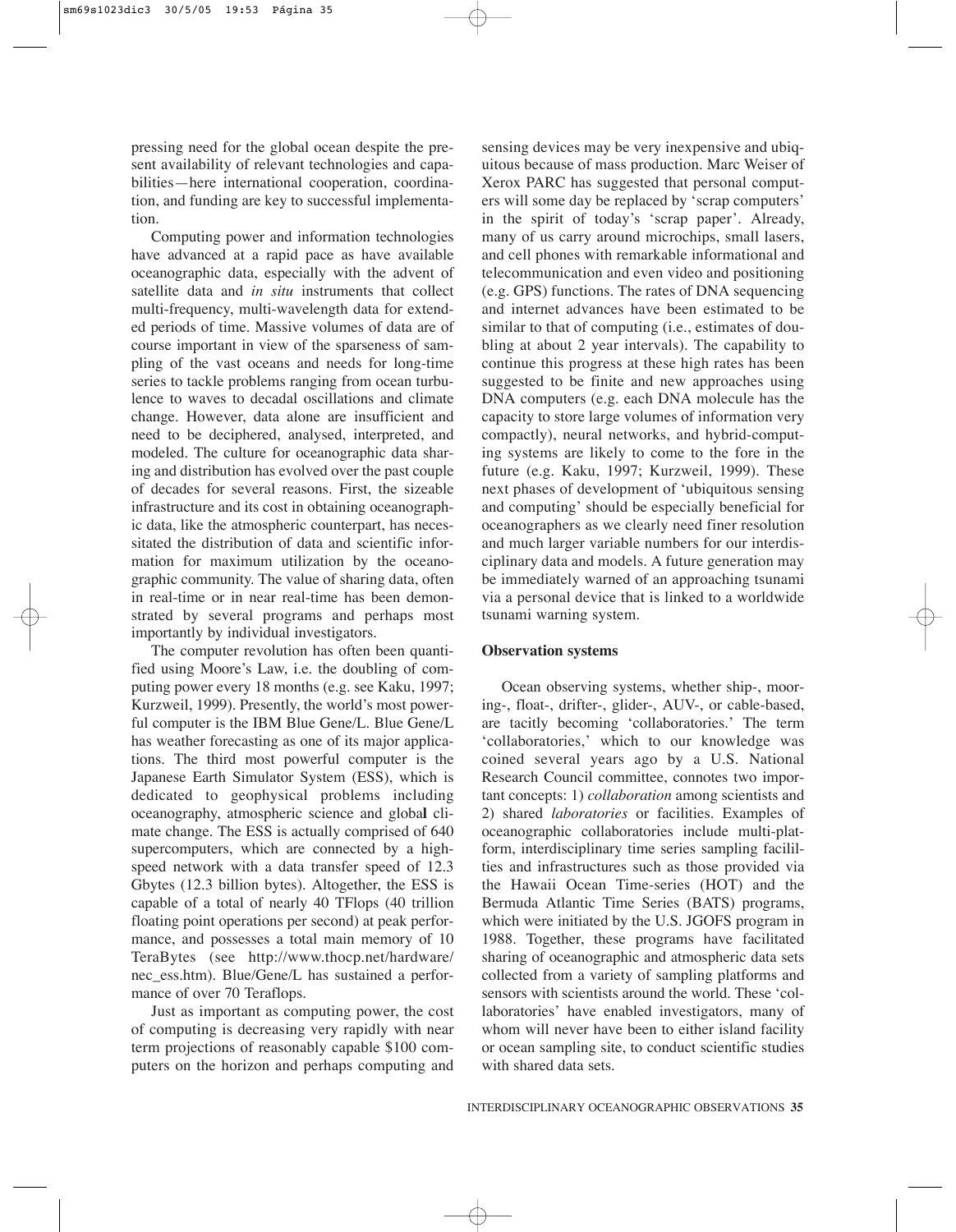pressing need for the global ocean despite the present availability of relevant technologies and capabilities—here international cooperation, coordination, and funding are key to successful implementation.

Computing power and information technologies have advanced at a rapid pace as have available oceanographic data, especially with the advent of satellite data and *in situ* instruments that collect multi-frequency, multi-wavelength data for extended periods of time. Massive volumes of data are of course important in view of the sparseness of sampling of the vast oceans and needs for long-time series to tackle problems ranging from ocean turbulence to waves to decadal oscillations and climate change. However, data alone are insufficient and need to be deciphered, analysed, interpreted, and modeled. The culture for oceanographic data sharing and distribution has evolved over the past couple of decades for several reasons. First, the sizeable infrastructure and its cost in obtaining oceanographic data, like the atmospheric counterpart, has necessitated the distribution of data and scientific information for maximum utilization by the oceanographic community. The value of sharing data, often in real-time or in near real-time has been demonstrated by several programs and perhaps most importantly by individual investigators.

The computer revolution has often been quantified using Moore's Law, i.e. the doubling of computing power every 18 months (e.g. see Kaku, 1997; Kurzweil, 1999). Presently, the world's most powerful computer is the IBM Blue Gene/L. Blue Gene/L has weather forecasting as one of its major applications. The third most powerful computer is the Japanese Earth Simulator System (ESS), which is dedicated to geophysical problems including oceanography, atmospheric science and globa**l** climate change. The ESS is actually comprised of 640 supercomputers, which are connected by a highspeed network with a data transfer speed of 12.3 Gbytes (12.3 billion bytes). Altogether, the ESS is capable of a total of nearly 40 TFlops (40 trillion floating point operations per second) at peak performance, and possesses a total main memory of 10 TeraBytes (see http://www.thocp.net/hardware/ nec\_ess.htm). Blue/Gene/L has sustained a performance of over 70 Teraflops.

Just as important as computing power, the cost of computing is decreasing very rapidly with near term projections of reasonably capable \$100 computers on the horizon and perhaps computing and

sensing devices may be very inexpensive and ubiquitous because of mass production. Marc Weiser of Xerox PARC has suggested that personal computers will some day be replaced by 'scrap computers' in the spirit of today's 'scrap paper'. Already, many of us carry around microchips, small lasers, and cell phones with remarkable informational and telecommunication and even video and positioning (e.g. GPS) functions. The rates of DNA sequencing and internet advances have been estimated to be similar to that of computing (i.e., estimates of doubling at about 2 year intervals). The capability to continue this progress at these high rates has been suggested to be finite and new approaches using DNA computers (e.g. each DNA molecule has the capacity to store large volumes of information very compactly), neural networks, and hybrid-computing systems are likely to come to the fore in the future (e.g. Kaku, 1997; Kurzweil, 1999). These next phases of development of 'ubiquitous sensing and computing' should be especially beneficial for oceanographers as we clearly need finer resolution and much larger variable numbers for our interdisciplinary data and models. A future generation may be immediately warned of an approaching tsunami via a personal device that is linked to a worldwide tsunami warning system.

#### **Observation systems**

Ocean observing systems, whether ship-, mooring-, float-, drifter-, glider-, AUV-, or cable-based, are tacitly becoming 'collaboratories.' The term 'collaboratories,' which to our knowledge was coined several years ago by a U.S. National Research Council committee, connotes two important concepts: 1) *collaboration* among scientists and 2) shared *laboratories* or facilities. Examples of oceanographic collaboratories include multi-platform, interdisciplinary time series sampling facililties and infrastructures such as those provided via the Hawaii Ocean Time-series (HOT) and the Bermuda Atlantic Time Series (BATS) programs, which were initiated by the U.S. JGOFS program in 1988. Together, these programs have facilitated sharing of oceanographic and atmospheric data sets collected from a variety of sampling platforms and sensors with scientists around the world. These 'collaboratories' have enabled investigators, many of whom will never have been to either island facility or ocean sampling site, to conduct scientific studies with shared data sets.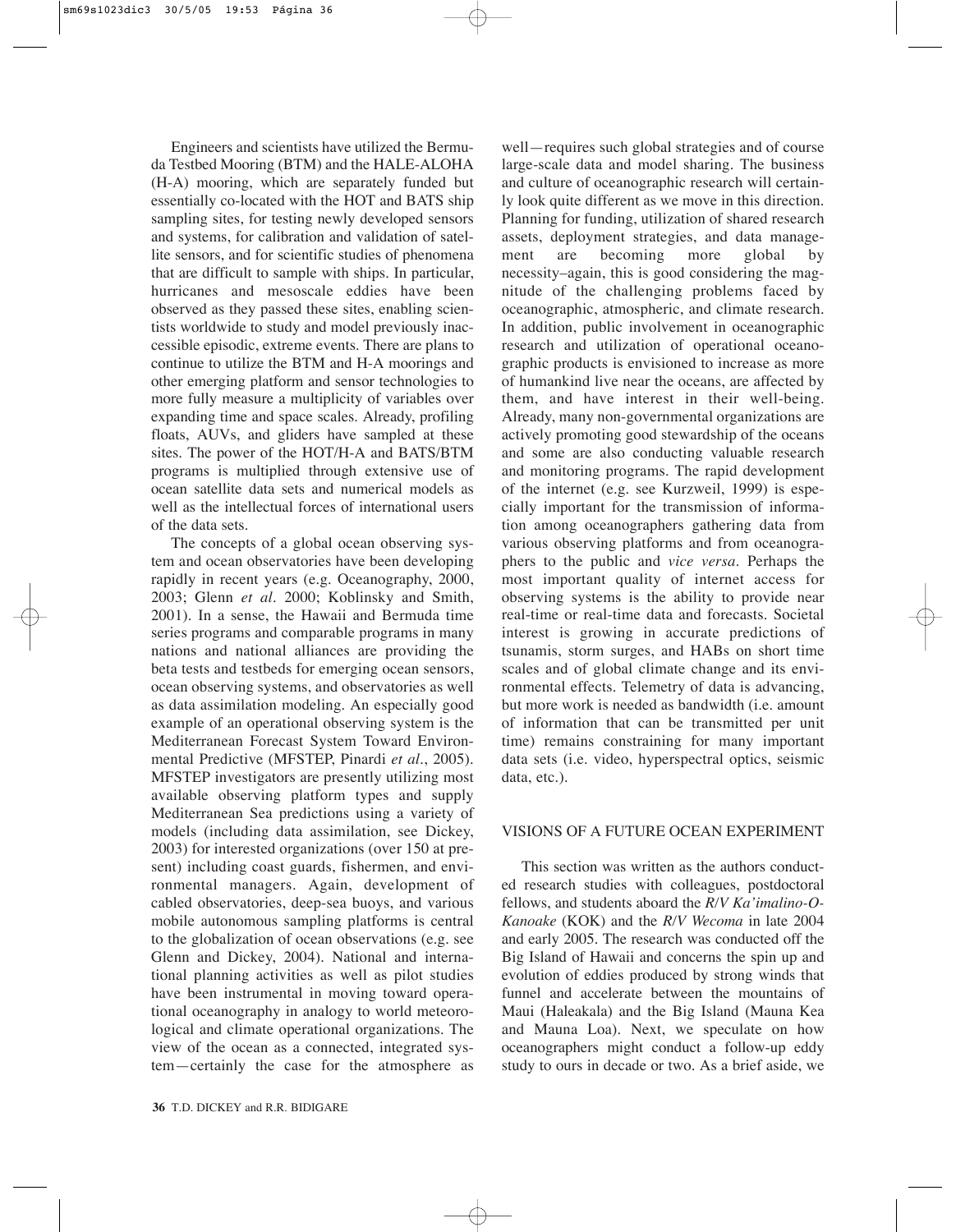Engineers and scientists have utilized the Bermuda Testbed Mooring (BTM) and the HALE-ALOHA (H-A) mooring, which are separately funded but essentially co-located with the HOT and BATS ship sampling sites, for testing newly developed sensors and systems, for calibration and validation of satellite sensors, and for scientific studies of phenomena that are difficult to sample with ships. In particular, hurricanes and mesoscale eddies have been observed as they passed these sites, enabling scientists worldwide to study and model previously inaccessible episodic, extreme events. There are plans to continue to utilize the BTM and H-A moorings and other emerging platform and sensor technologies to more fully measure a multiplicity of variables over expanding time and space scales. Already, profiling floats, AUVs, and gliders have sampled at these sites. The power of the HOT/H-A and BATS/BTM programs is multiplied through extensive use of ocean satellite data sets and numerical models as well as the intellectual forces of international users of the data sets.

The concepts of a global ocean observing system and ocean observatories have been developing rapidly in recent years (e.g. Oceanography, 2000, 2003; Glenn *et al.* 2000; Koblinsky and Smith, 2001). In a sense, the Hawaii and Bermuda time series programs and comparable programs in many nations and national alliances are providing the beta tests and testbeds for emerging ocean sensors, ocean observing systems, and observatories as well as data assimilation modeling. An especially good example of an operational observing system is the Mediterranean Forecast System Toward Environmental Predictive (MFSTEP, Pinardi *et al.*, 2005). MFSTEP investigators are presently utilizing most available observing platform types and supply Mediterranean Sea predictions using a variety of models (including data assimilation, see Dickey, 2003) for interested organizations (over 150 at present) including coast guards, fishermen, and environmental managers. Again, development of cabled observatories, deep-sea buoys, and various mobile autonomous sampling platforms is central to the globalization of ocean observations (e.g. see Glenn and Dickey, 2004). National and international planning activities as well as pilot studies have been instrumental in moving toward operational oceanography in analogy to world meteorological and climate operational organizations. The view of the ocean as a connected, integrated system—certainly the case for the atmosphere as

well—requires such global strategies and of course large-scale data and model sharing. The business and culture of oceanographic research will certainly look quite different as we move in this direction. Planning for funding, utilization of shared research assets, deployment strategies, and data management are becoming more global by necessity–again, this is good considering the magnitude of the challenging problems faced by oceanographic, atmospheric, and climate research. In addition, public involvement in oceanographic research and utilization of operational oceanographic products is envisioned to increase as more of humankind live near the oceans, are affected by them, and have interest in their well-being. Already, many non-governmental organizations are actively promoting good stewardship of the oceans and some are also conducting valuable research and monitoring programs. The rapid development of the internet (e.g. see Kurzweil, 1999) is especially important for the transmission of information among oceanographers gathering data from various observing platforms and from oceanographers to the public and *vice versa*. Perhaps the most important quality of internet access for observing systems is the ability to provide near real-time or real-time data and forecasts. Societal interest is growing in accurate predictions of tsunamis, storm surges, and HABs on short time scales and of global climate change and its environmental effects. Telemetry of data is advancing, but more work is needed as bandwidth (i.e. amount of information that can be transmitted per unit time) remains constraining for many important data sets (i.e. video, hyperspectral optics, seismic data, etc.).

#### VISIONS OF A FUTURE OCEAN EXPERIMENT

This section was written as the authors conducted research studies with colleagues, postdoctoral fellows, and students aboard the *R/V Ka'imalino-O-Kanoake* (KOK) and the *R/V Wecoma* in late 2004 and early 2005. The research was conducted off the Big Island of Hawaii and concerns the spin up and evolution of eddies produced by strong winds that funnel and accelerate between the mountains of Maui (Haleakala) and the Big Island (Mauna Kea and Mauna Loa). Next, we speculate on how oceanographers might conduct a follow-up eddy study to ours in decade or two. As a brief aside, we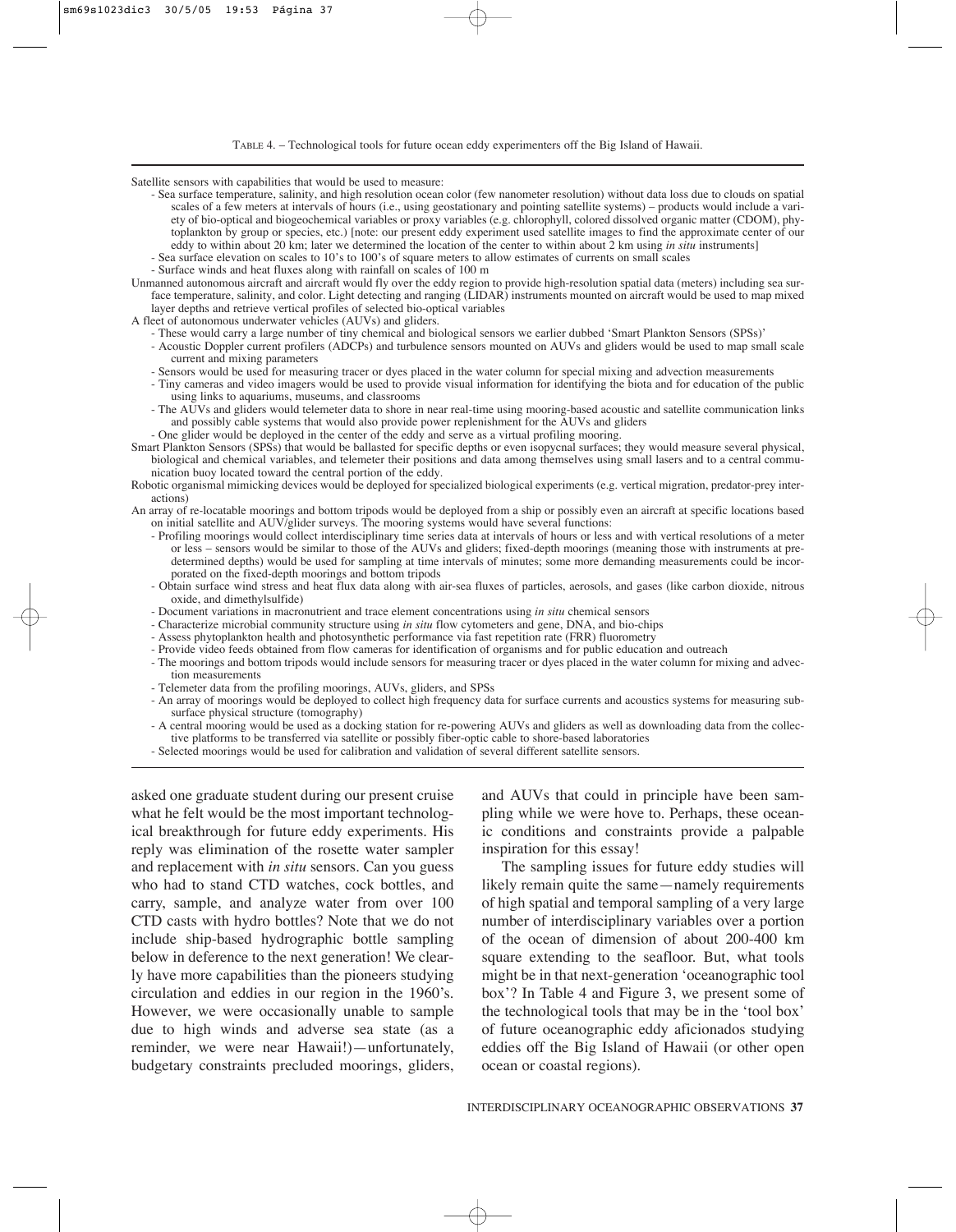Satellite sensors with capabilities that would be used to measure:

- Sea surface temperature, salinity, and high resolution ocean color (few nanometer resolution) without data loss due to clouds on spatial scales of a few meters at intervals of hours (i.e., using geostationary and pointing satellite systems) – products would include a variety of bio-optical and biogeochemical variables or proxy variables (e.g. chlorophyll, colored dissolved organic matter (CDOM), phytoplankton by group or species, etc.) [note: our present eddy experiment used satellite images to find the approximate center of our eddy to within about 20 km; later we determined the location of the center to within about 2 km using *in situ* instruments]
- Sea surface elevation on scales to 10's to 100's of square meters to allow estimates of currents on small scales
- Surface winds and heat fluxes along with rainfall on scales of 100 m
- Unmanned autonomous aircraft and aircraft would fly over the eddy region to provide high-resolution spatial data (meters) including sea surface temperature, salinity, and color. Light detecting and ranging (LIDAR) instruments mounted on aircraft would be used to map mixed layer depths and retrieve vertical profiles of selected bio-optical variables
- A fleet of autonomous underwater vehicles (AUVs) and gliders.
	- These would carry a large number of tiny chemical and biological sensors we earlier dubbed 'Smart Plankton Sensors (SPSs)'
	- Acoustic Doppler current profilers (ADCPs) and turbulence sensors mounted on AUVs and gliders would be used to map small scale current and mixing parameters
	- Sensors would be used for measuring tracer or dyes placed in the water column for special mixing and advection measurements
	- Tiny cameras and video imagers would be used to provide visual information for identifying the biota and for education of the public using links to aquariums, museums, and classrooms
	- The AUVs and gliders would telemeter data to shore in near real-time using mooring-based acoustic and satellite communication links and possibly cable systems that would also provide power replenishment for the AUVs and gliders
	- One glider would be deployed in the center of the eddy and serve as a virtual profiling mooring.
- Smart Plankton Sensors (SPSs) that would be ballasted for specific depths or even isopycnal surfaces; they would measure several physical, biological and chemical variables, and telemeter their positions and data among themselves using small lasers and to a central communication buoy located toward the central portion of the eddy.
- Robotic organismal mimicking devices would be deployed for specialized biological experiments (e.g. vertical migration, predator-prey interactions)
- An array of re-locatable moorings and bottom tripods would be deployed from a ship or possibly even an aircraft at specific locations based on initial satellite and AUV/glider surveys. The mooring systems would have several functions:
	- Profiling moorings would collect interdisciplinary time series data at intervals of hours or less and with vertical resolutions of a meter or less – sensors would be similar to those of the AUVs and gliders; fixed-depth moorings (meaning those with instruments at predetermined depths) would be used for sampling at time intervals of minutes; some more demanding measurements could be incorporated on the fixed-depth moorings and bottom tripods
	- Obtain surface wind stress and heat flux data along with air-sea fluxes of particles, aerosols, and gases (like carbon dioxide, nitrous oxide, and dimethylsulfide)
	- Document variations in macronutrient and trace element concentrations using *in situ* chemical sensors
	- Characterize microbial community structure using *in situ* flow cytometers and gene, DNA, and bio-chips
	- Assess phytoplankton health and photosynthetic performance via fast repetition rate (FRR) fluorometry
	- Provide video feeds obtained from flow cameras for identification of organisms and for public education and outreach
	- The moorings and bottom tripods would include sensors for measuring tracer or dyes placed in the water column for mixing and advection measurements
	- Telemeter data from the profiling moorings, AUVs, gliders, and SPSs
	- An array of moorings would be deployed to collect high frequency data for surface currents and acoustics systems for measuring subsurface physical structure (tomography)
	- A central mooring would be used as a docking station for re-powering AUVs and gliders as well as downloading data from the collective platforms to be transferred via satellite or possibly fiber-optic cable to shore-based laboratories
	- Selected moorings would be used for calibration and validation of several different satellite sensors.

asked one graduate student during our present cruise what he felt would be the most important technological breakthrough for future eddy experiments. His reply was elimination of the rosette water sampler and replacement with *in situ* sensors. Can you guess who had to stand CTD watches, cock bottles, and carry, sample, and analyze water from over 100 CTD casts with hydro bottles? Note that we do not include ship-based hydrographic bottle sampling below in deference to the next generation! We clearly have more capabilities than the pioneers studying circulation and eddies in our region in the 1960's. However, we were occasionally unable to sample due to high winds and adverse sea state (as a reminder, we were near Hawaii!)—unfortunately, budgetary constraints precluded moorings, gliders, and AUVs that could in principle have been sampling while we were hove to. Perhaps, these oceanic conditions and constraints provide a palpable inspiration for this essay!

The sampling issues for future eddy studies will likely remain quite the same—namely requirements of high spatial and temporal sampling of a very large number of interdisciplinary variables over a portion of the ocean of dimension of about 200-400 km square extending to the seafloor. But, what tools might be in that next-generation 'oceanographic tool box'? In Table 4 and Figure 3, we present some of the technological tools that may be in the 'tool box' of future oceanographic eddy aficionados studying eddies off the Big Island of Hawaii (or other open ocean or coastal regions).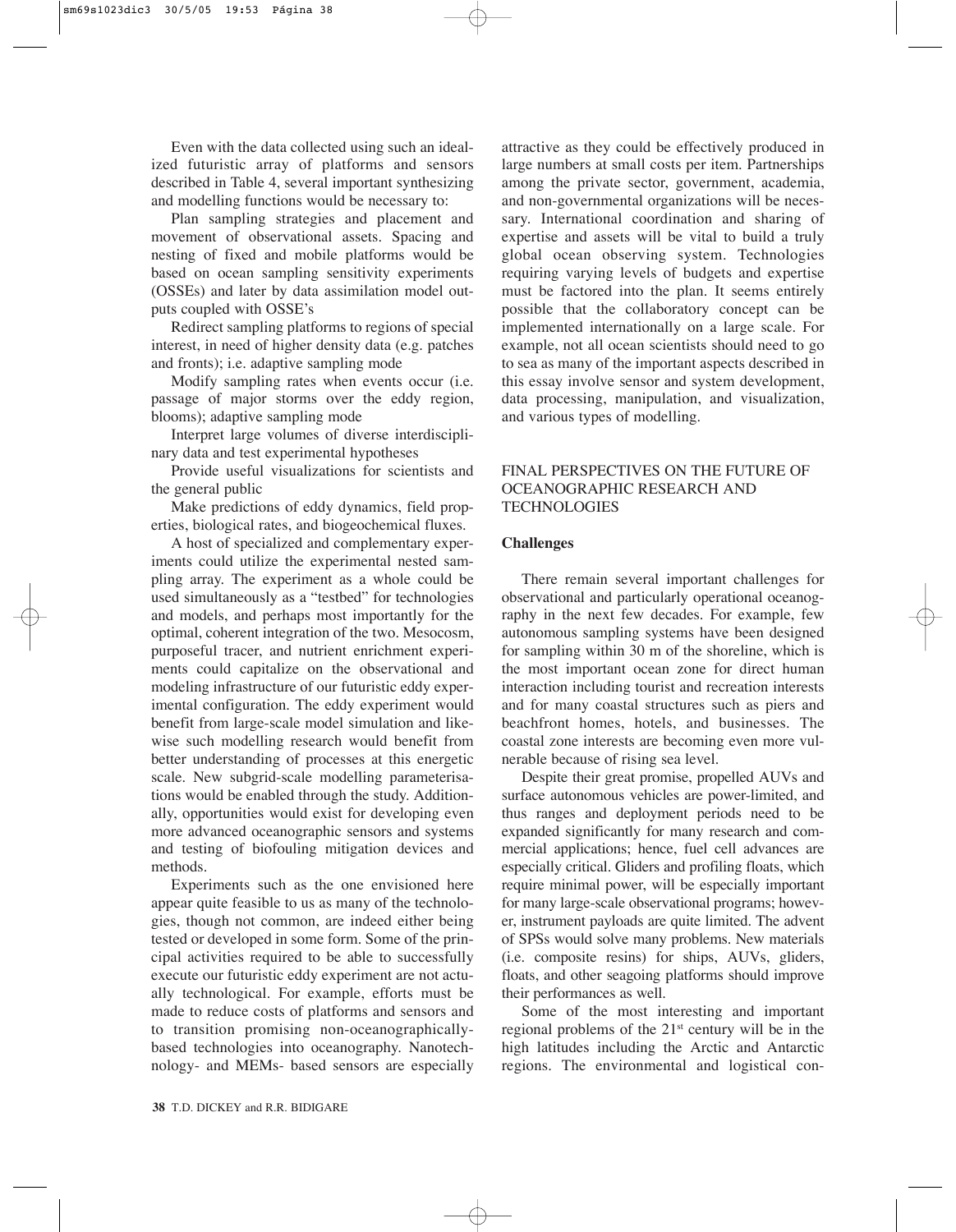Even with the data collected using such an idealized futuristic array of platforms and sensors described in Table 4, several important synthesizing and modelling functions would be necessary to:

Plan sampling strategies and placement and movement of observational assets. Spacing and nesting of fixed and mobile platforms would be based on ocean sampling sensitivity experiments (OSSEs) and later by data assimilation model outputs coupled with OSSE's

Redirect sampling platforms to regions of special interest, in need of higher density data (e.g. patches and fronts); i.e. adaptive sampling mode

Modify sampling rates when events occur (i.e. passage of major storms over the eddy region, blooms); adaptive sampling mode

Interpret large volumes of diverse interdisciplinary data and test experimental hypotheses

Provide useful visualizations for scientists and the general public

Make predictions of eddy dynamics, field properties, biological rates, and biogeochemical fluxes.

A host of specialized and complementary experiments could utilize the experimental nested sampling array. The experiment as a whole could be used simultaneously as a "testbed" for technologies and models, and perhaps most importantly for the optimal, coherent integration of the two. Mesocosm, purposeful tracer, and nutrient enrichment experiments could capitalize on the observational and modeling infrastructure of our futuristic eddy experimental configuration. The eddy experiment would benefit from large-scale model simulation and likewise such modelling research would benefit from better understanding of processes at this energetic scale. New subgrid-scale modelling parameterisations would be enabled through the study. Additionally, opportunities would exist for developing even more advanced oceanographic sensors and systems and testing of biofouling mitigation devices and methods.

Experiments such as the one envisioned here appear quite feasible to us as many of the technologies, though not common, are indeed either being tested or developed in some form. Some of the principal activities required to be able to successfully execute our futuristic eddy experiment are not actually technological. For example, efforts must be made to reduce costs of platforms and sensors and to transition promising non-oceanographicallybased technologies into oceanography. Nanotechnology- and MEMs- based sensors are especially attractive as they could be effectively produced in large numbers at small costs per item. Partnerships among the private sector, government, academia, and non-governmental organizations will be necessary. International coordination and sharing of expertise and assets will be vital to build a truly global ocean observing system. Technologies requiring varying levels of budgets and expertise must be factored into the plan. It seems entirely possible that the collaboratory concept can be implemented internationally on a large scale. For example, not all ocean scientists should need to go to sea as many of the important aspects described in this essay involve sensor and system development, data processing, manipulation, and visualization, and various types of modelling.

## FINAL PERSPECTIVES ON THE FUTURE OF OCEANOGRAPHIC RESEARCH AND **TECHNOLOGIES**

### **Challenges**

There remain several important challenges for observational and particularly operational oceanography in the next few decades. For example, few autonomous sampling systems have been designed for sampling within 30 m of the shoreline, which is the most important ocean zone for direct human interaction including tourist and recreation interests and for many coastal structures such as piers and beachfront homes, hotels, and businesses. The coastal zone interests are becoming even more vulnerable because of rising sea level.

Despite their great promise, propelled AUVs and surface autonomous vehicles are power-limited, and thus ranges and deployment periods need to be expanded significantly for many research and commercial applications; hence, fuel cell advances are especially critical. Gliders and profiling floats, which require minimal power, will be especially important for many large-scale observational programs; however, instrument payloads are quite limited. The advent of SPSs would solve many problems. New materials (i.e. composite resins) for ships, AUVs, gliders, floats, and other seagoing platforms should improve their performances as well.

Some of the most interesting and important regional problems of the 21st century will be in the high latitudes including the Arctic and Antarctic regions. The environmental and logistical con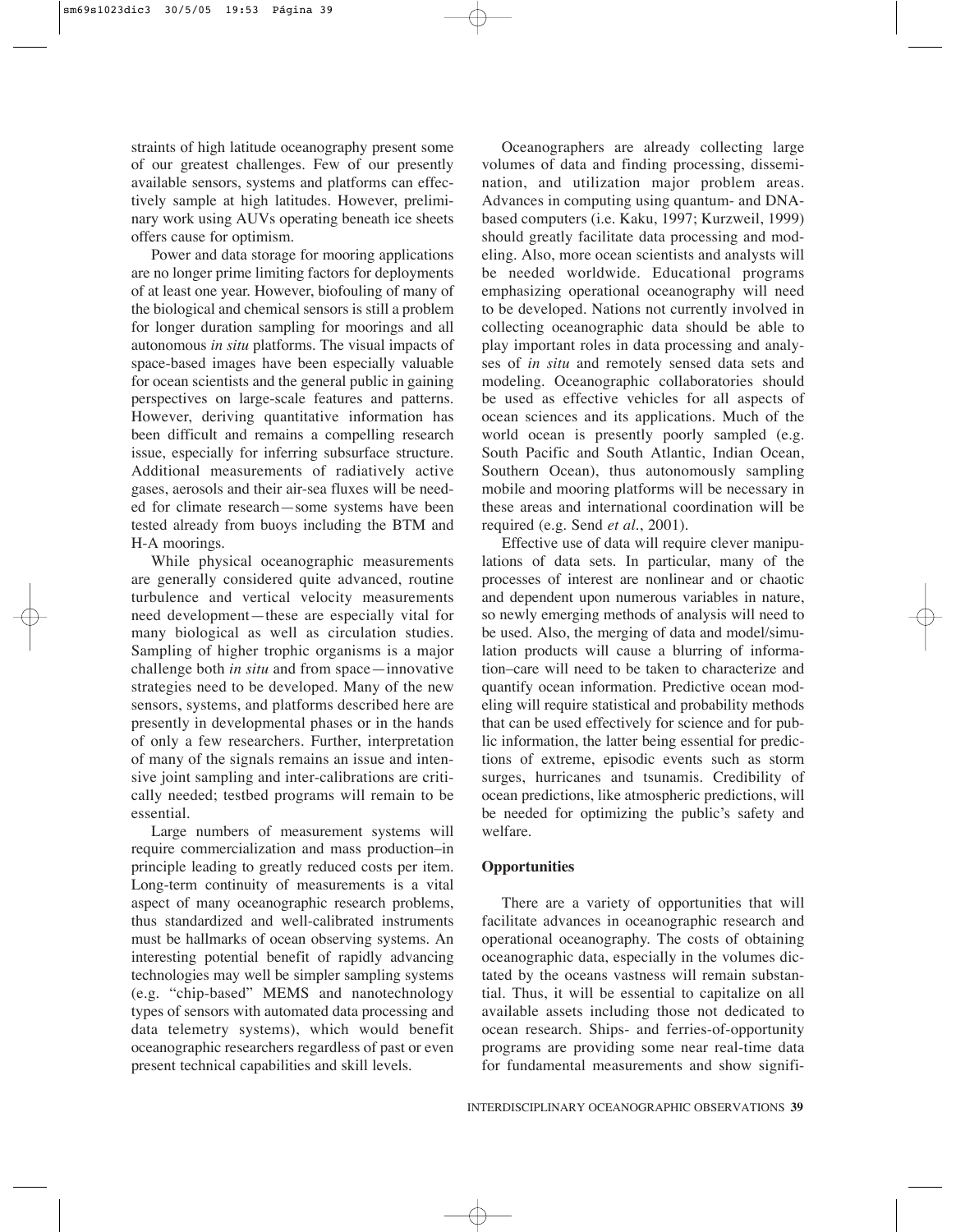straints of high latitude oceanography present some of our greatest challenges. Few of our presently available sensors, systems and platforms can effectively sample at high latitudes. However, preliminary work using AUVs operating beneath ice sheets offers cause for optimism.

Power and data storage for mooring applications are no longer prime limiting factors for deployments of at least one year. However, biofouling of many of the biological and chemical sensors is still a problem for longer duration sampling for moorings and all autonomous *in situ* platforms. The visual impacts of space-based images have been especially valuable for ocean scientists and the general public in gaining perspectives on large-scale features and patterns. However, deriving quantitative information has been difficult and remains a compelling research issue, especially for inferring subsurface structure. Additional measurements of radiatively active gases, aerosols and their air-sea fluxes will be needed for climate research—some systems have been tested already from buoys including the BTM and H-A moorings.

While physical oceanographic measurements are generally considered quite advanced, routine turbulence and vertical velocity measurements need development—these are especially vital for many biological as well as circulation studies. Sampling of higher trophic organisms is a major challenge both *in situ* and from space—innovative strategies need to be developed. Many of the new sensors, systems, and platforms described here are presently in developmental phases or in the hands of only a few researchers. Further, interpretation of many of the signals remains an issue and intensive joint sampling and inter-calibrations are critically needed; testbed programs will remain to be essential.

Large numbers of measurement systems will require commercialization and mass production–in principle leading to greatly reduced costs per item. Long-term continuity of measurements is a vital aspect of many oceanographic research problems, thus standardized and well-calibrated instruments must be hallmarks of ocean observing systems. An interesting potential benefit of rapidly advancing technologies may well be simpler sampling systems (e.g. "chip-based" MEMS and nanotechnology types of sensors with automated data processing and data telemetry systems), which would benefit oceanographic researchers regardless of past or even present technical capabilities and skill levels.

Oceanographers are already collecting large volumes of data and finding processing, dissemination, and utilization major problem areas. Advances in computing using quantum- and DNAbased computers (i.e. Kaku, 1997; Kurzweil, 1999) should greatly facilitate data processing and modeling. Also, more ocean scientists and analysts will be needed worldwide. Educational programs emphasizing operational oceanography will need to be developed. Nations not currently involved in collecting oceanographic data should be able to play important roles in data processing and analyses of *in situ* and remotely sensed data sets and modeling. Oceanographic collaboratories should be used as effective vehicles for all aspects of ocean sciences and its applications. Much of the world ocean is presently poorly sampled (e.g. South Pacific and South Atlantic, Indian Ocean, Southern Ocean), thus autonomously sampling mobile and mooring platforms will be necessary in these areas and international coordination will be required (e.g. Send *et al.*, 2001).

Effective use of data will require clever manipulations of data sets. In particular, many of the processes of interest are nonlinear and or chaotic and dependent upon numerous variables in nature, so newly emerging methods of analysis will need to be used. Also, the merging of data and model/simulation products will cause a blurring of information–care will need to be taken to characterize and quantify ocean information. Predictive ocean modeling will require statistical and probability methods that can be used effectively for science and for public information, the latter being essential for predictions of extreme, episodic events such as storm surges, hurricanes and tsunamis. Credibility of ocean predictions, like atmospheric predictions, will be needed for optimizing the public's safety and welfare.

## **Opportunities**

There are a variety of opportunities that will facilitate advances in oceanographic research and operational oceanography. The costs of obtaining oceanographic data, especially in the volumes dictated by the oceans vastness will remain substantial. Thus, it will be essential to capitalize on all available assets including those not dedicated to ocean research. Ships- and ferries-of-opportunity programs are providing some near real-time data for fundamental measurements and show signifi-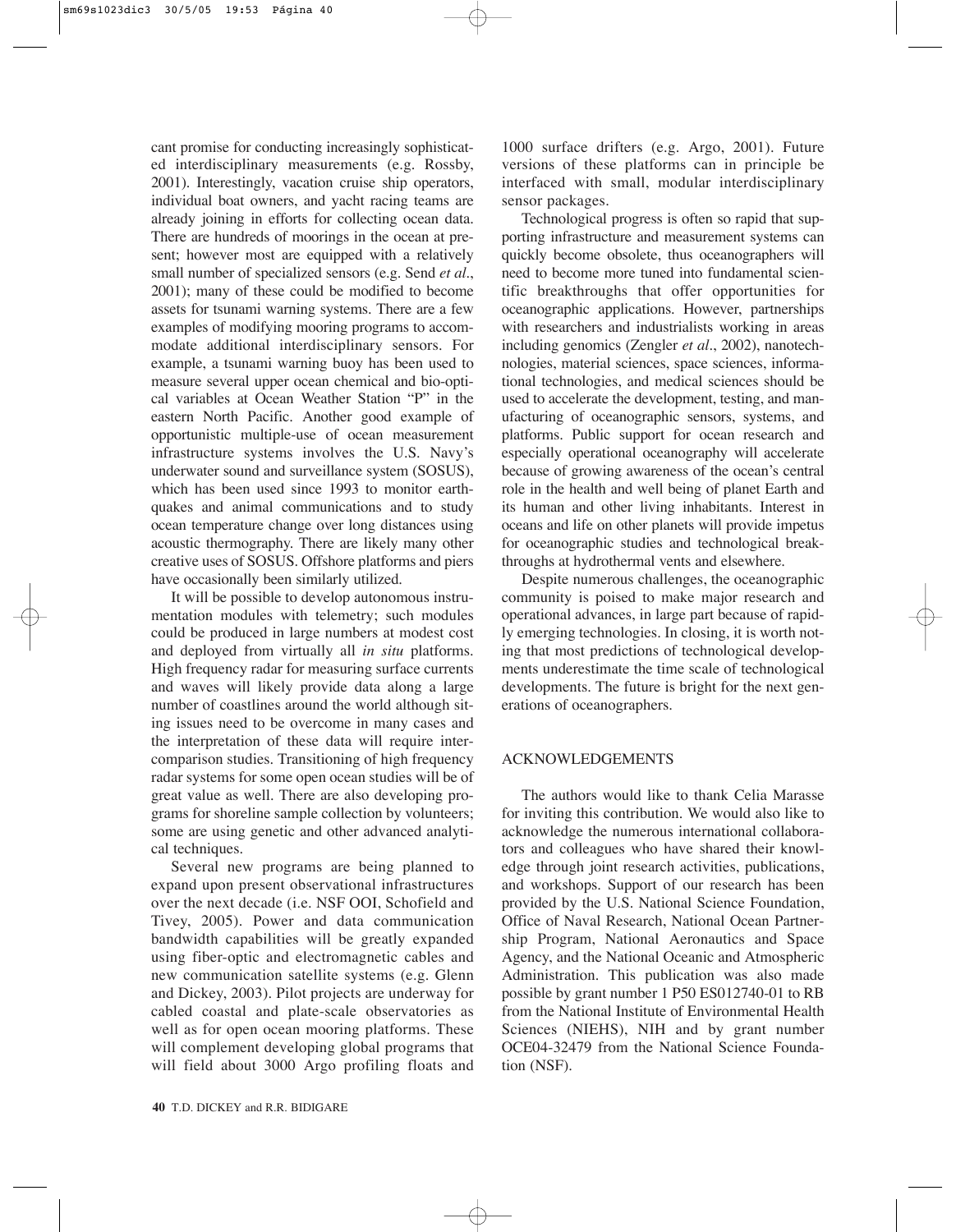cant promise for conducting increasingly sophisticated interdisciplinary measurements (e.g. Rossby, 2001). Interestingly, vacation cruise ship operators, individual boat owners, and yacht racing teams are already joining in efforts for collecting ocean data. There are hundreds of moorings in the ocean at present; however most are equipped with a relatively small number of specialized sensors (e.g. Send *et al.*, 2001); many of these could be modified to become assets for tsunami warning systems. There are a few examples of modifying mooring programs to accommodate additional interdisciplinary sensors. For example, a tsunami warning buoy has been used to measure several upper ocean chemical and bio-optical variables at Ocean Weather Station "P" in the eastern North Pacific. Another good example of opportunistic multiple-use of ocean measurement infrastructure systems involves the U.S. Navy's underwater sound and surveillance system (SOSUS), which has been used since 1993 to monitor earthquakes and animal communications and to study ocean temperature change over long distances using acoustic thermography. There are likely many other creative uses of SOSUS. Offshore platforms and piers have occasionally been similarly utilized.

It will be possible to develop autonomous instrumentation modules with telemetry; such modules could be produced in large numbers at modest cost and deployed from virtually all *in situ* platforms. High frequency radar for measuring surface currents and waves will likely provide data along a large number of coastlines around the world although siting issues need to be overcome in many cases and the interpretation of these data will require intercomparison studies. Transitioning of high frequency radar systems for some open ocean studies will be of great value as well. There are also developing programs for shoreline sample collection by volunteers; some are using genetic and other advanced analytical techniques.

Several new programs are being planned to expand upon present observational infrastructures over the next decade (i.e. NSF OOI, Schofield and Tivey, 2005). Power and data communication bandwidth capabilities will be greatly expanded using fiber-optic and electromagnetic cables and new communication satellite systems (e.g. Glenn and Dickey, 2003). Pilot projects are underway for cabled coastal and plate-scale observatories as well as for open ocean mooring platforms. These will complement developing global programs that will field about 3000 Argo profiling floats and

1000 surface drifters (e.g. Argo, 2001). Future versions of these platforms can in principle be interfaced with small, modular interdisciplinary sensor packages.

Technological progress is often so rapid that supporting infrastructure and measurement systems can quickly become obsolete, thus oceanographers will need to become more tuned into fundamental scientific breakthroughs that offer opportunities for oceanographic applications. However, partnerships with researchers and industrialists working in areas including genomics (Zengler *et al.*, 2002), nanotechnologies, material sciences, space sciences, informational technologies, and medical sciences should be used to accelerate the development, testing, and manufacturing of oceanographic sensors, systems, and platforms. Public support for ocean research and especially operational oceanography will accelerate because of growing awareness of the ocean's central role in the health and well being of planet Earth and its human and other living inhabitants. Interest in oceans and life on other planets will provide impetus for oceanographic studies and technological breakthroughs at hydrothermal vents and elsewhere.

Despite numerous challenges, the oceanographic community is poised to make major research and operational advances, in large part because of rapidly emerging technologies. In closing, it is worth noting that most predictions of technological developments underestimate the time scale of technological developments. The future is bright for the next generations of oceanographers.

## ACKNOWLEDGEMENTS

The authors would like to thank Celia Marasse for inviting this contribution. We would also like to acknowledge the numerous international collaborators and colleagues who have shared their knowledge through joint research activities, publications, and workshops. Support of our research has been provided by the U.S. National Science Foundation, Office of Naval Research, National Ocean Partnership Program, National Aeronautics and Space Agency, and the National Oceanic and Atmospheric Administration. This publication was also made possible by grant number 1 P50 ES012740-01 to RB from the National Institute of Environmental Health Sciences (NIEHS), NIH and by grant number OCE04-32479 from the National Science Foundation (NSF).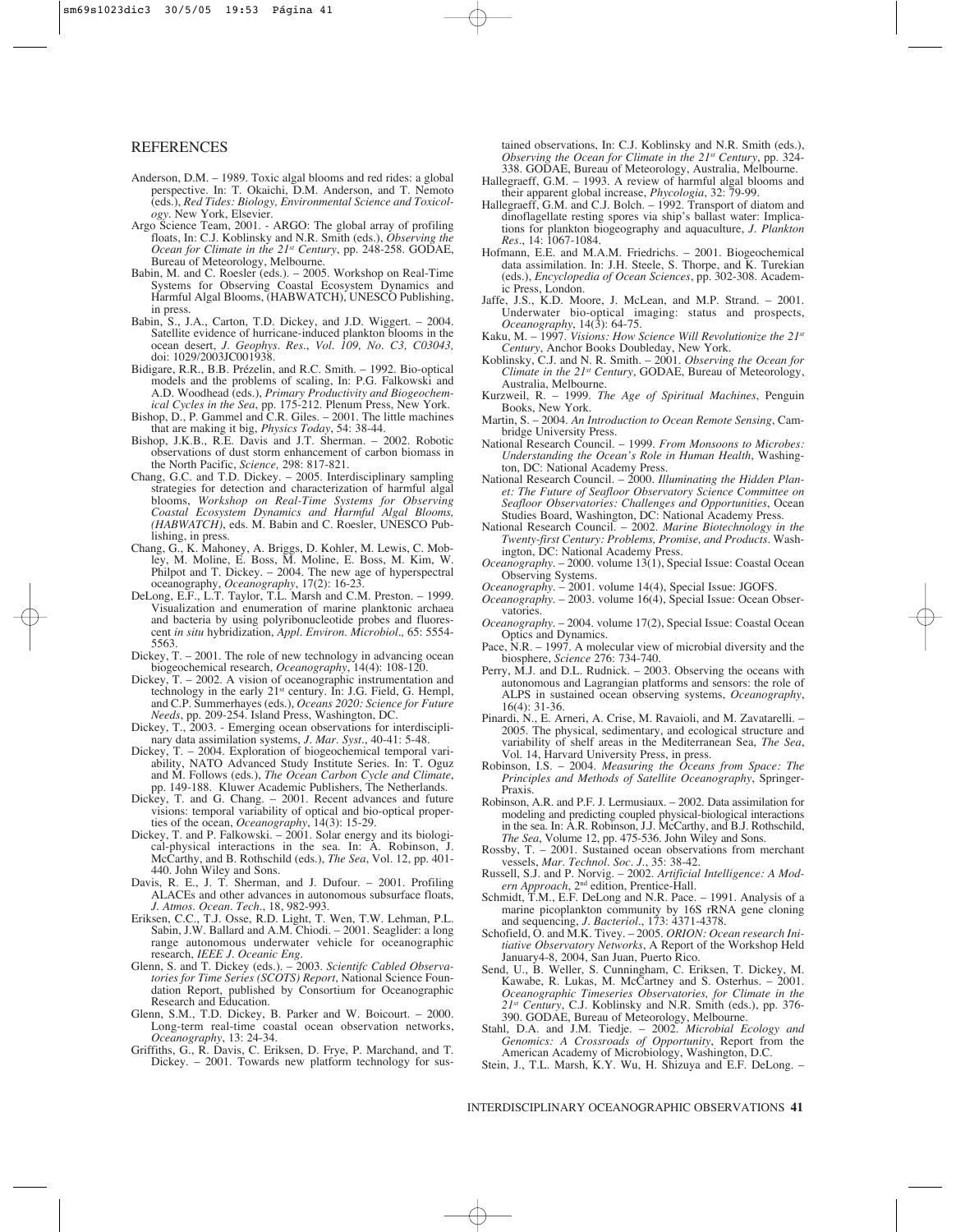#### **REFERENCES**

- Anderson, D.M. 1989. Toxic algal blooms and red rides: a global perspective. In: T. Okaichi, D.M. Anderson, and T. Nemoto (eds.), *Red Tides: Biology, Environmental Science and Toxicology*. New York, Elsevier.
- Argo Science Team, 2001. ARGO: The global array of profiling floats, In: C.J. Koblinsky and N.R. Smith (eds.), *Observing the Ocean for Climate in the 21<sup>st</sup> Century*, pp. 248-258. GODAE, Bureau of Meteorology, Melbourne.
- Babin, M. and C. Roesler (eds.). 2005. Workshop on Real-Time Systems for Observing Coastal Ecosystem Dynamics and Harmful Algal Blooms, (HABWATCH), UNESCO Publishing, in press.
- Babin, S., J.A., Carton, T.D. Dickey, and J.D. Wiggert. 2004. Satellite evidence of hurricane-induced plankton blooms in the ocean desert, *J. Geophys. Res.*, *Vol. 109, No. C3, C03043,* doi: 1029/2003JC001938.
- Bidigare, R.R., B.B. Prézelin, and R.C. Smith. 1992. Bio-optical models and the problems of scaling, In: P.G. Falkowski and A.D. Woodhead (eds.), *Primary Productivity and Biogeochemical Cycles in the Sea*, pp. 175-212. Plenum Press, New York.
- Bishop, D., P. Gammel and C.R. Giles. 2001. The little machines that are making it big, *Physics Today*, 54: 38-44.
- Bishop, J.K.B., R.E. Davis and J.T. Sherman. 2002. Robotic observations of dust storm enhancement of carbon biomass in the North Pacific, *Science,* 298: 817-821.
- Chang, G.C. and T.D. Dickey. 2005. Interdisciplinary sampling strategies for detection and characterization of harmful algal blooms, *Workshop on Real-Time Systems for Observing Coastal Ecosystem Dynamics and Harmful Algal Blooms, (HABWATCH)*, eds. M. Babin and C. Roesler, UNESCO Publishing, in press.
- Chang, G., K. Mahoney, A. Briggs, D. Kohler, M. Lewis, C. Mobley, M. Moline, E. Boss, M. Moline, E. Boss, M. Kim, W. Philpot and T. Dickey. – 2004. The new age of hyperspectral oceanography, *Oceanography*, 17(2): 16-23.
- DeLong, E.F., L.T. Taylor, T.L. Marsh and C.M. Preston. 1999. Visualization and enumeration of marine planktonic archaea and bacteria by using polyribonucleotide probes and fluorescent *in situ* hybridization, *Appl. Environ. Microbiol.,* 65: 5554- 5563.
- Dickey, T. 2001. The role of new technology in advancing ocean biogeochemical research, *Oceanography*, 14(4): 108-120.
- Dickey, T. 2002. A vision of oceanographic instrumentation and technology in the early 21st century. In: J.G. Field, G. Hempl, and C.P. Summerhayes (eds.), *Oceans 2020: Science for Future Needs*, pp. 209-254. Island Press, Washington, DC.
- Dickey, T., 2003. Emerging ocean observations for interdisciplinary data assimilation systems, *J. Mar. Syst.*, 40-41: 5-48.
- Dickey, T. 2004. Exploration of biogeochemical temporal variability, NATO Advanced Study Institute Series. In: T. Oguz and M. Follows (eds.), *The Ocean Carbon Cycle and Climate*, pp. 149-188. Kluwer Academic Publishers, The Netherlands.
- Dickey, T. and G. Chang. 2001. Recent advances and future visions: temporal variability of optical and bio-optical properties of the ocean, *Oceanography*, 14(3): 15-29.
- Dickey, T. and P. Falkowski. 2001. Solar energy and its biological-physical interactions in the sea. In: A. Robinson, J. McCarthy, and B. Rothschild (eds.), *The Sea*, Vol. 12, pp. 401- 440. John Wiley and Sons.
- Davis, R. E., J. T. Sherman, and J. Dufour. 2001. Profiling ALACEs and other advances in autonomous subsurface floats, *J. Atmos. Ocean. Tech.*, 18, 982-993.
- Eriksen, C.C., T.J. Osse, R.D. Light, T. Wen, T.W. Lehman, P.L. Sabin, J.W. Ballard and A.M. Chiodi. – 2001. Seaglider: a long range autonomous underwater vehicle for oceanographic research, *IEEE J. Oceanic Eng.*
- Glenn, S. and T. Dickey (eds.). 2003. *Scientifc Cabled Observatories for Time Series (SCOTS) Report*, National Science Foundation Report, published by Consortium for Oceanographic Research and Education.
- Glenn, S.M., T.D. Dickey, B. Parker and W. Boicourt. 2000. Long-term real-time coastal ocean observation networks, *Oceanography*, 13: 24-34.
- Griffiths, G., R. Davis, C. Eriksen, D. Frye, P. Marchand, and T. Dickey. – 2001. Towards new platform technology for sus-

tained observations, In: C.J. Koblinsky and N.R. Smith (eds.), *Observing the Ocean for Climate in the 21st Century*, pp. 324- 338. GODAE, Bureau of Meteorology, Australia, Melbourne.

- Hallegraeff, G.M. 1993. A review of harmful algal blooms and their apparent global increase, *Phycologia*, 32: 79-99.
- Hallegraeff, G.M. and C.J. Bolch. 1992. Transport of diatom and dinoflagellate resting spores via ship's ballast water: Implications for plankton biogeography and aquaculture, *J. Plankton Res.*, 14: 1067-1084.
- Hofmann, E.E. and M.A.M. Friedrichs. 2001. Biogeochemical data assimilation. In: J.H. Steele, S. Thorpe, and K. Turekian (eds.), *Encyclopedia of Ocean Sciences*, pp. 302-308. Academic Press, London.
- Jaffe, J.S., K.D. Moore, J. McLean, and M.P. Strand. 2001. Underwater bio-optical imaging: status and prospects, *Oceanography*, 14(3): 64-75.
- Kaku, M. 1997. *Visions: How Science Will Revolutionize the 21st Century*, Anchor Books Doubleday, New York.
- Koblinsky, C.J. and N. R. Smith. 2001. *Observing the Ocean for Climate in the 21st Century*, GODAE, Bureau of Meteorology, Australia, Melbourne.
- Kurzweil, R. 1999. *The Age of Spiritual Machines*, Penguin Books, New York.
- Martin, S. 2004. *An Introduction to Ocean Remote Sensing*, Cambridge University Press.
- National Research Council. 1999. *From Monsoons to Microbes: Understanding the Ocean's Role in Human Health*, Washington, DC: National Academy Press.
- National Research Council. 2000. *Illuminating the Hidden Planet: The Future of Seafloor Observatory Science Committee on Seafloor Observatories: Challenges and Opportunities*, Ocean Studies Board, Washington, DC: National Academy Press.
- National Research Council. 2002. *Marine Biotechnology in the Twenty-first Century: Problems, Promise, and Products*. Washington, DC: National Academy Press.
- *Oceanography*. 2000. volume 13(1), Special Issue: Coastal Ocean Observing Systems.
- *Oceanography*. 2001. volume 14(4), Special Issue: JGOFS.
- *Oceanography*. 2003. volume 16(4), Special Issue: Ocean Observatories.
- *Oceanography*. 2004. volume 17(2), Special Issue: Coastal Ocean Optics and Dynamics.
- Pace, N.R. 1997. A molecular view of microbial diversity and the biosphere, *Science* 276: 734-740.
- Perry, M.J. and D.L. Rudnick. 2003. Observing the oceans with autonomous and Lagrangian platforms and sensors: the role of ALPS in sustained ocean observing systems, *Oceanography*, 16(4): 31-36.
- Pinardi, N., E. Arneri, A. Crise, M. Ravaioli, and M. Zavatarelli. 2005. The physical, sedimentary, and ecological structure and variability of shelf areas in the Mediterranean Sea, *The Sea*, Vol. 14, Harvard University Press, in press.
- Robinson, I.S. 2004. *Measuring the Oceans from Space: The Principles and Methods of Satellite Oceanography*, Springer-Praxis.
- Robinson, A.R. and P.F. J. Lermusiaux. 2002. Data assimilation for modeling and predicting coupled physical-biological interactions in the sea. In: A.R. Robinson, J.J. McCarthy, and B.J. Rothschild, *The Sea*, Volume 12, pp. 475-536. John Wiley and Sons.
- Rossby, T. 2001. Sustained ocean observations from merchant vessels, *Mar. Technol. Soc. J.*, 35: 38-42.
- Russell, S.J. and P. Norvig. 2002. *Artificial Intelligence: A Modern Approach*, 2nd edition, Prentice-Hall.
- Schmidt, T.M., E.F. DeLong and N.R. Pace. 1991. Analysis of a marine picoplankton community by 16S rRNA gene cloning and sequencing, *J. Bacteriol.*, 173: 4371-4378.
- Schofield, O. and M.K. Tivey. 2005. ORION: Ocean research Ini*tiative Observatory Networks*, A Report of the Workshop Held January4-8, 2004, San Juan, Puerto Rico.
- Send, U., B. Weller, S. Cunningham, C. Eriksen, T. Dickey, M. Kawabe, R. Lukas, M. McCartney and S. Osterhus. – 2001. *Oceanographic Timeseries Observatories, for Climate in the 21st Century*, C.J. Koblinsky and N.R. Smith (eds.), pp. 376- 390. GODAE, Bureau of Meteorology, Melbourne.
- Stahl, D.A. and J.M. Tiedje. 2002. *Microbial Ecology and Genomics: A Crossroads of Opportunity*, Report from the American Academy of Microbiology, Washington, D.C.
- Stein, J., T.L. Marsh, K.Y. Wu, H. Shizuya and E.F. DeLong. –